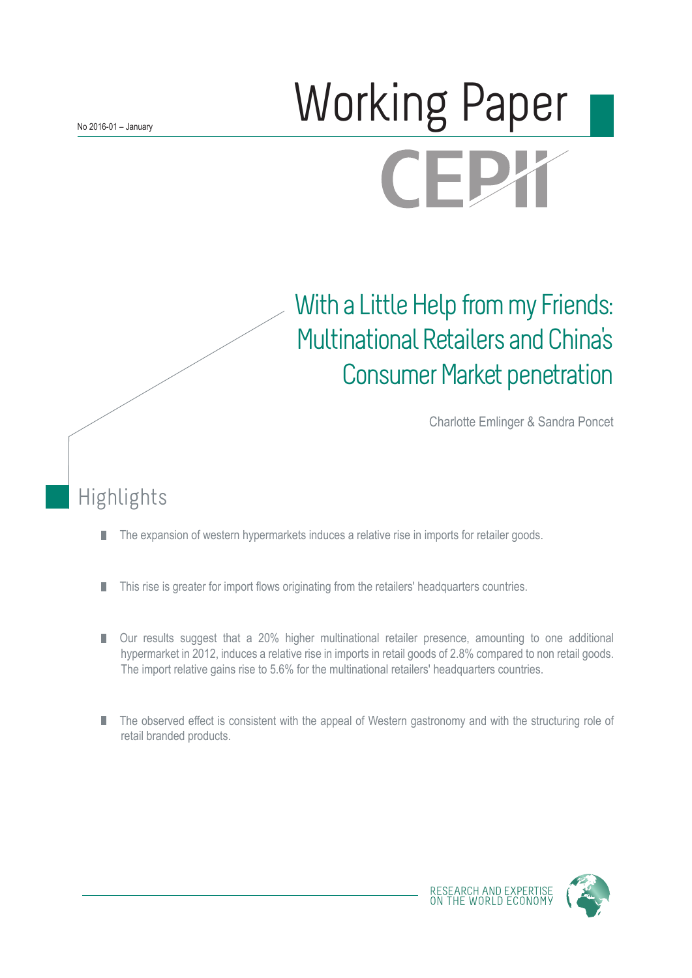# Working Paper **CEPX**

## With a Little Help from my Friends: Multinational Retailers and China's Consumer Market penetration

Charlotte Emlinger & Sandra Poncet

## Highlights

- The expansion of western hypermarkets induces a relative rise in imports for retailer goods. П
- This rise is greater for import flows originating from the retailers' headquarters countries. П
- П Our results suggest that a 20% higher multinational retailer presence, amounting to one additional hypermarket in 2012, induces a relative rise in imports in retail goods of 2.8% compared to non retail goods. The import relative gains rise to 5.6% for the multinational retailers' headquarters countries.
- The observed effect is consistent with the appeal of Western gastronomy and with the structuring role of retail branded products.

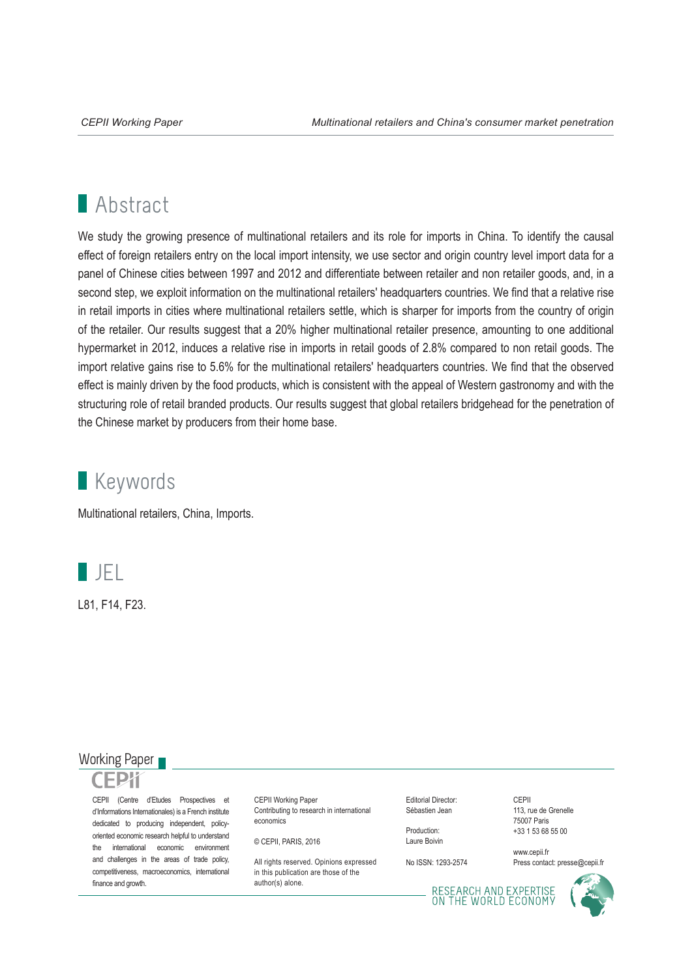## **Abstract**

We study the growing presence of multinational retailers and its role for imports in China. To identify the causal effect of foreign retailers entry on the local import intensity, we use sector and origin country level import data for a panel of Chinese cities between 1997 and 2012 and differentiate between retailer and non retailer goods, and, in a second step, we exploit information on the multinational retailers' headquarters countries. We find that a relative rise in retail imports in cities where multinational retailers settle, which is sharper for imports from the country of origin of the retailer. Our results suggest that a 20% higher multinational retailer presence, amounting to one additional hypermarket in 2012, induces a relative rise in imports in retail goods of 2.8% compared to non retail goods. The import relative gains rise to 5.6% for the multinational retailers' headquarters countries. We find that the observed effect is mainly driven by the food products, which is consistent with the appeal of Western gastronomy and with the structuring role of retail branded products. Our results suggest that global retailers bridgehead for the penetration of the Chinese market by producers from their home base.

## **Keywords**

Multinational retailers, China, Imports.



L81, F14, F23.

#### Working Paper

CEPII (Centre d'Etudes Prospectives et d'Informations Internationales) is a French institute dedicated to producing independent, policyoriented economic research helpful to understand the international economic environment and challenges in the areas of trade policy, competitiveness, macroeconomics, international finance and growth.

CEPII Working Paper Contributing to research in international economics

© CEPII, PARIS, 2016

All rights reserved. Opinions expressed. in this publication are those of the author(s) alone.

Editorial Director: Sébastien Jean

Production: Laure Boivin

No ISSN: 1293-2574

CEPII 113, rue de Grenelle 75007 Paris +33 1 53 68 55 00

www.cepii.fr Press contact: presse@cepii.fr

RESEARCH AND EXPERTISE<br>ON THE WORLD ECONOMY

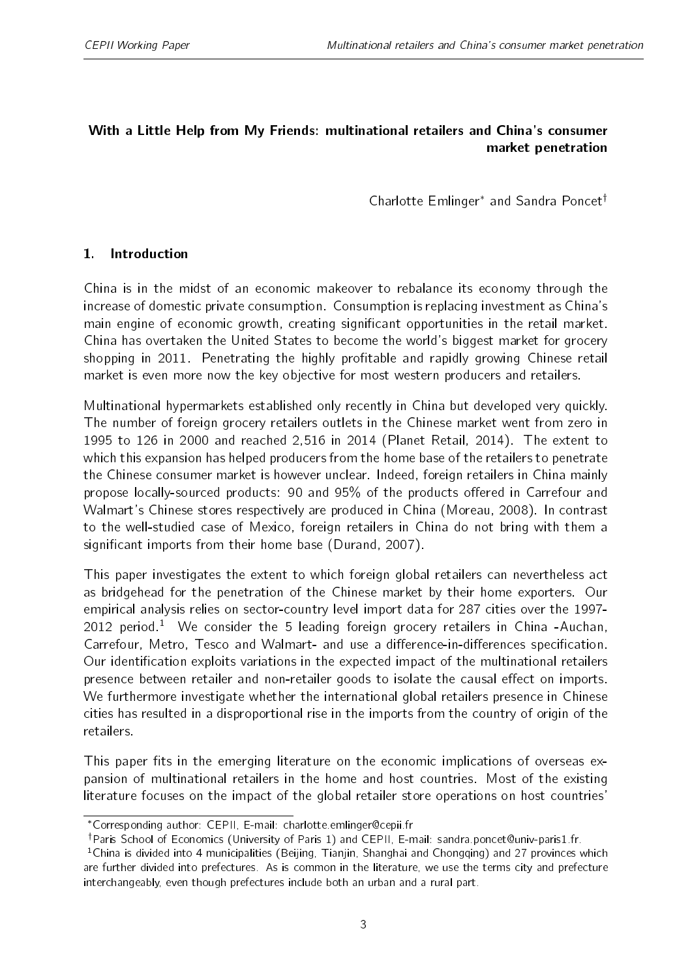#### <span id="page-2-0"></span>With a Little Help from My Friends: multinational retailers and China's consumer market penetration

Charlotte Emlinger<sup>\*</sup> and Sandra Poncet<sup>†</sup>

#### 1. Introduction

China is in the midst of an economic makeover to rebalance its economy through the increase of domestic private consumption. Consumption is replacing investment as China's main engine of economic growth, creating significant opportunities in the retail market. China has overtaken the United States to become the world's biggest market for grocery shopping in 2011. Penetrating the highly profitable and rapidly growing Chinese retail market is even more now the key objective for most western producers and retailers.

Multinational hypermarkets established only recently in China but developed very quickly. The number of foreign grocery retailers outlets in the Chinese market went from zero in 1995 to 126 in 2000 and reached 2,516 in 2014 (Planet Retail, 2014). The extent to which this expansion has helped producers from the home base of the retailers to penetrate the Chinese consumer market is however unclear. Indeed, foreign retailers in China mainly propose locally-sourced products: 90 and 95% of the products offered in Carrefour and Walmart's Chinese stores respectively are produced in China (Moreau, 2008). In contrast to the well-studied case of Mexico, foreign retailers in China do not bring with them a significant imports from their home base (Durand, 2007).

This paper investigates the extent to which foreign global retailers can nevertheless act as bridgehead for the penetration of the Chinese market by their home exporters. Our empirical analysis relies on sector-country level import data for 287 cities over the 1997- 2012 period.<sup>1</sup> We consider the 5 leading foreign grocery retailers in China -Auchan, Carrefour, Metro, Tesco and Walmart- and use a difference-in-differences specification. Our identication exploits variations in the expected impact of the multinational retailers presence between retailer and non-retailer goods to isolate the causal effect on imports. We furthermore investigate whether the international global retailers presence in Chinese cities has resulted in a disproportional rise in the imports from the country of origin of the retailers.

This paper fits in the emerging literature on the economic implications of overseas expansion of multinational retailers in the home and host countries. Most of the existing literature focuses on the impact of the global retailer store operations on host countries'

Corresponding author: CEPII, E-mail: charlotte.emlinger@cepii.fr

<sup>&</sup>lt;sup>†</sup>Paris School of Economics (University of Paris 1) and CEPII, E-mail: sandra.poncet@univ-paris1.fr.

<sup>&</sup>lt;sup>1</sup>China is divided into 4 municipalities (Beijing, Tianjin, Shanghai and Chongqing) and 27 provinces which are further divided into prefectures. As is common in the literature, we use the terms city and prefecture interchangeably, even though prefectures include both an urban and a rural part.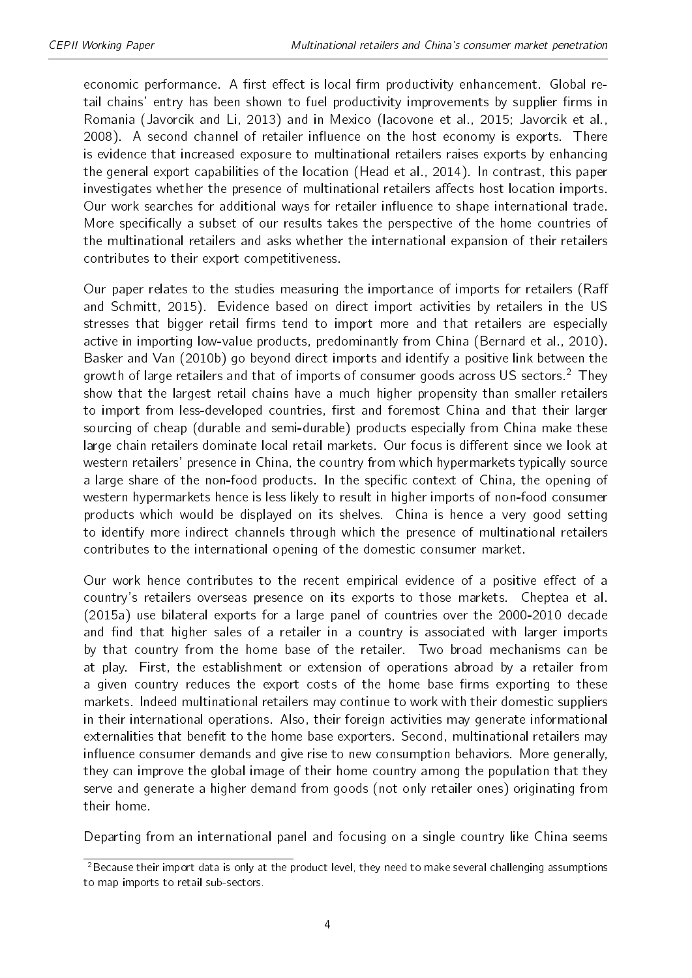economic performance. A first effect is local firm productivity enhancement. Global retail chains' entry has been shown to fuel productivity improvements by supplier firms in Romania (Javorcik and Li, 2013) and in Mexico (Iacovone et al., 2015; Javorcik et al., 2008). A second channel of retailer influence on the host economy is exports. There is evidence that increased exposure to multinational retailers raises exports by enhancing the general export capabilities of the location (Head et al., 2014). In contrast, this paper investigates whether the presence of multinational retailers affects host location imports. Our work searches for additional ways for retailer influence to shape international trade. More specifically a subset of our results takes the perspective of the home countries of the multinational retailers and asks whether the international expansion of their retailers contributes to their export competitiveness.

Our paper relates to the studies measuring the importance of imports for retailers (Ra and Schmitt, 2015). Evidence based on direct import activities by retailers in the US stresses that bigger retail firms tend to import more and that retailers are especially active in importing low-value products, predominantly from China (Bernard et al., 2010). Basker and Van (2010b) go beyond direct imports and identify a positive link between the growth of large retailers and that of imports of consumer goods across US sectors.<sup>[2](#page-2-0)</sup> They show that the largest retail chains have a much higher propensity than smaller retailers to import from less-developed countries, first and foremost China and that their larger sourcing of cheap (durable and semi-durable) products especially from China make these large chain retailers dominate local retail markets. Our focus is different since we look at western retailers' presence in China, the country from which hypermarkets typically source a large share of the non-food products. In the specific context of China, the opening of western hypermarkets hence is less likely to result in higher imports of non-food consumer products which would be displayed on its shelves. China is hence a very good setting to identify more indirect channels through which the presence of multinational retailers contributes to the international opening of the domestic consumer market.

Our work hence contributes to the recent empirical evidence of a positive effect of a country's retailers overseas presence on its exports to those markets. Cheptea et al. (2015a) use bilateral exports for a large panel of countries over the 2000-2010 decade and find that higher sales of a retailer in a country is associated with larger imports by that country from the home base of the retailer. Two broad mechanisms can be at play. First, the establishment or extension of operations abroad by a retailer from a given country reduces the export costs of the home base firms exporting to these markets. Indeed multinational retailers may continue to work with their domestic suppliers in their international operations. Also, their foreign activities may generate informational externalities that benefit to the home base exporters. Second, multinational retailers may influence consumer demands and give rise to new consumption behaviors. More generally, they can improve the global image of their home country among the population that they serve and generate a higher demand from goods (not only retailer ones) originating from their home.

Departing from an international panel and focusing on a single country like China seems

<sup>&</sup>lt;sup>2</sup>Because their import data is only at the product level, they need to make several challenging assumptions to map imports to retail sub-sectors.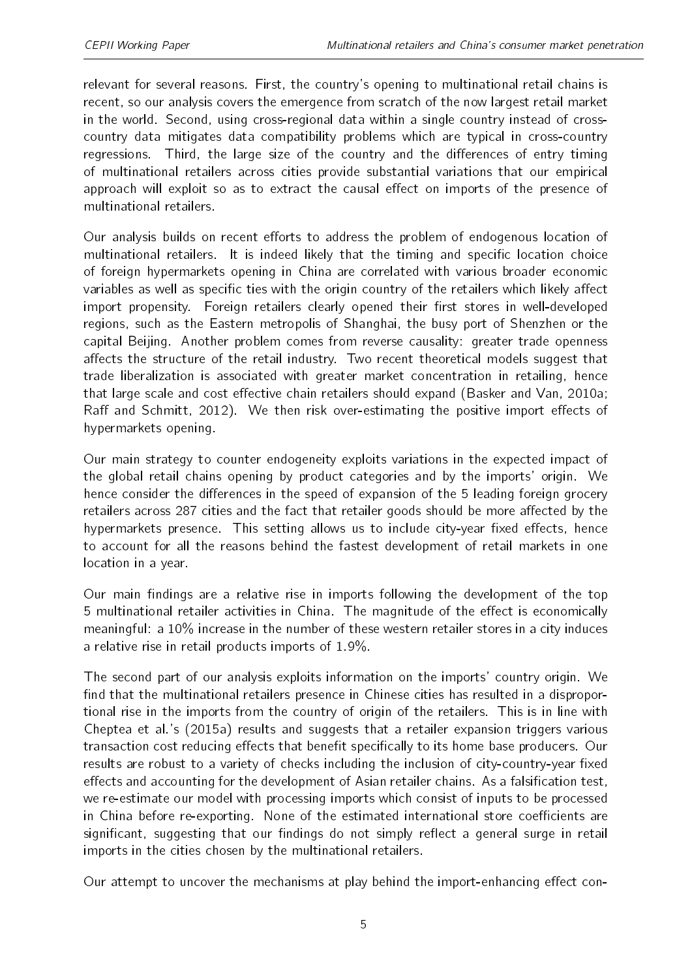relevant for several reasons. First, the country's opening to multinational retail chains is recent, so our analysis covers the emergence from scratch of the now largest retail market in the world. Second, using cross-regional data within a single country instead of crosscountry data mitigates data compatibility problems which are typical in cross-country regressions. Third, the large size of the country and the differences of entry timing of multinational retailers across cities provide substantial variations that our empirical approach will exploit so as to extract the causal effect on imports of the presence of multinational retailers.

Our analysis builds on recent efforts to address the problem of endogenous location of multinational retailers. It is indeed likely that the timing and specific location choice of foreign hypermarkets opening in China are correlated with various broader economic variables as well as specific ties with the origin country of the retailers which likely affect import propensity. Foreign retailers clearly opened their first stores in well-developed regions, such as the Eastern metropolis of Shanghai, the busy port of Shenzhen or the capital Beijing. Another problem comes from reverse causality: greater trade openness affects the structure of the retail industry. Two recent theoretical models suggest that trade liberalization is associated with greater market concentration in retailing, hence that large scale and cost effective chain retailers should expand (Basker and Van, 2010a; Raff and Schmitt, 2012). We then risk over-estimating the positive import effects of hypermarkets opening.

Our main strategy to counter endogeneity exploits variations in the expected impact of the global retail chains opening by product categories and by the imports' origin. We hence consider the differences in the speed of expansion of the 5 leading foreign grocery retailers across 287 cities and the fact that retailer goods should be more affected by the hypermarkets presence. This setting allows us to include city-year fixed effects, hence to account for all the reasons behind the fastest development of retail markets in one location in a year.

Our main findings are a relative rise in imports following the development of the top 5 multinational retailer activities in China. The magnitude of the effect is economically meaningful: a 10% increase in the number of these western retailer stores in a city induces a relative rise in retail products imports of 1.9%.

The second part of our analysis exploits information on the imports' country origin. We find that the multinational retailers presence in Chinese cities has resulted in a disproportional rise in the imports from the country of origin of the retailers. This is in line with Cheptea et al.'s (2015a) results and suggests that a retailer expansion triggers various transaction cost reducing effects that benefit specifically to its home base producers. Our results are robust to a variety of checks including the inclusion of city-country-year fixed effects and accounting for the development of Asian retailer chains. As a falsification test, we re-estimate our model with processing imports which consist of inputs to be processed in China before re-exporting. None of the estimated international store coefficients are significant, suggesting that our findings do not simply reflect a general surge in retail imports in the cities chosen by the multinational retailers.

Our attempt to uncover the mechanisms at play behind the import-enhancing effect con-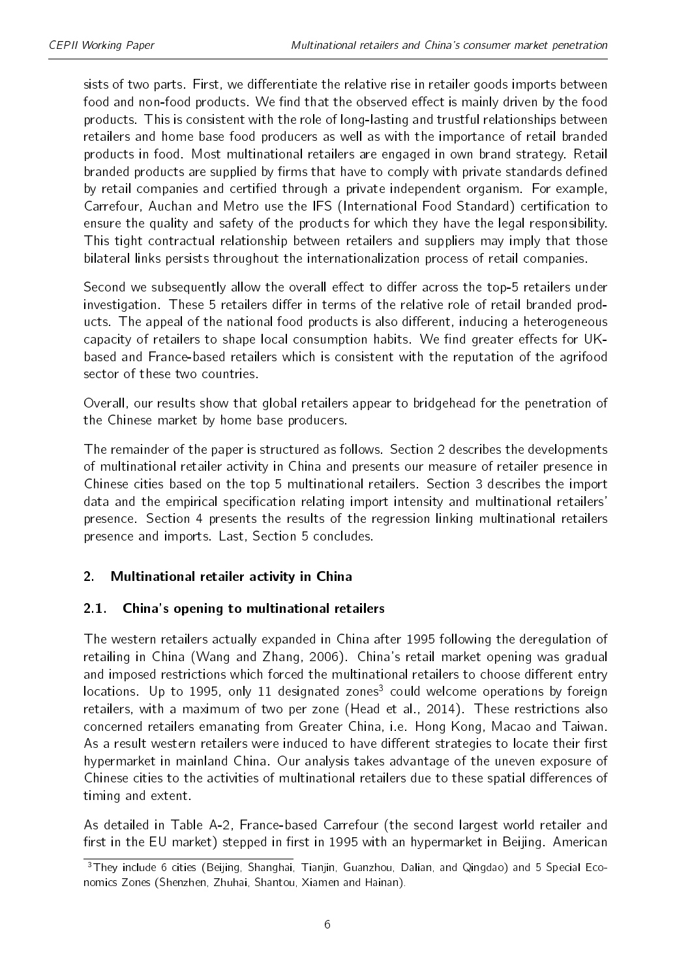sists of two parts. First, we differentiate the relative rise in retailer goods imports between food and non-food products. We find that the observed effect is mainly driven by the food products. This is consistent with the role of long-lasting and trustful relationships between retailers and home base food producers as well as with the importance of retail branded products in food. Most multinational retailers are engaged in own brand strategy. Retail branded products are supplied by firms that have to comply with private standards defined by retail companies and certified through a private independent organism. For example, Carrefour, Auchan and Metro use the IFS (International Food Standard) certication to ensure the quality and safety of the products for which they have the legal responsibility. This tight contractual relationship between retailers and suppliers may imply that those bilateral links persists throughout the internationalization process of retail companies.

Second we subsequently allow the overall effect to differ across the top-5 retailers under investigation. These 5 retailers differ in terms of the relative role of retail branded products. The appeal of the national food products is also different, inducing a heterogeneous capacity of retailers to shape local consumption habits. We find greater effects for UKbased and France-based retailers which is consistent with the reputation of the agrifood sector of these two countries.

Overall, our results show that global retailers appear to bridgehead for the penetration of the Chinese market by home base producers.

The remainder of the paper is structured as follows. Section 2 describes the developments of multinational retailer activity in China and presents our measure of retailer presence in Chinese cities based on the top 5 multinational retailers. Section 3 describes the import data and the empirical specification relating import intensity and multinational retailers' presence. Section 4 presents the results of the regression linking multinational retailers presence and imports. Last, Section 5 concludes.

#### 2. Multinational retailer activity in China

#### 2.1. China's opening to multinational retailers

The western retailers actually expanded in China after 1995 following the deregulation of retailing in China (Wang and Zhang, 2006). China's retail market opening was gradual and imposed restrictions which forced the multinational retailers to choose different entry locations. Up to 1995, only 11 designated zones<sup>[3](#page-2-0)</sup> could welcome operations by foreign retailers, with a maximum of two per zone (Head et al., 2014). These restrictions also concerned retailers emanating from Greater China, i.e. Hong Kong, Macao and Taiwan. As a result western retailers were induced to have different strategies to locate their first hypermarket in mainland China. Our analysis takes advantage of the uneven exposure of Chinese cities to the activities of multinational retailers due to these spatial differences of timing and extent.

As detailed in Table [A-2,](#page-23-0) France-based Carrefour (the second largest world retailer and first in the EU market) stepped in first in 1995 with an hypermarket in Beijing. American

<sup>&</sup>lt;sup>3</sup>They include 6 cities (Beijing, Shanghai, Tianjin, Guanzhou, Dalian, and Qingdao) and 5 Special Economics Zones (Shenzhen, Zhuhai, Shantou, Xiamen and Hainan).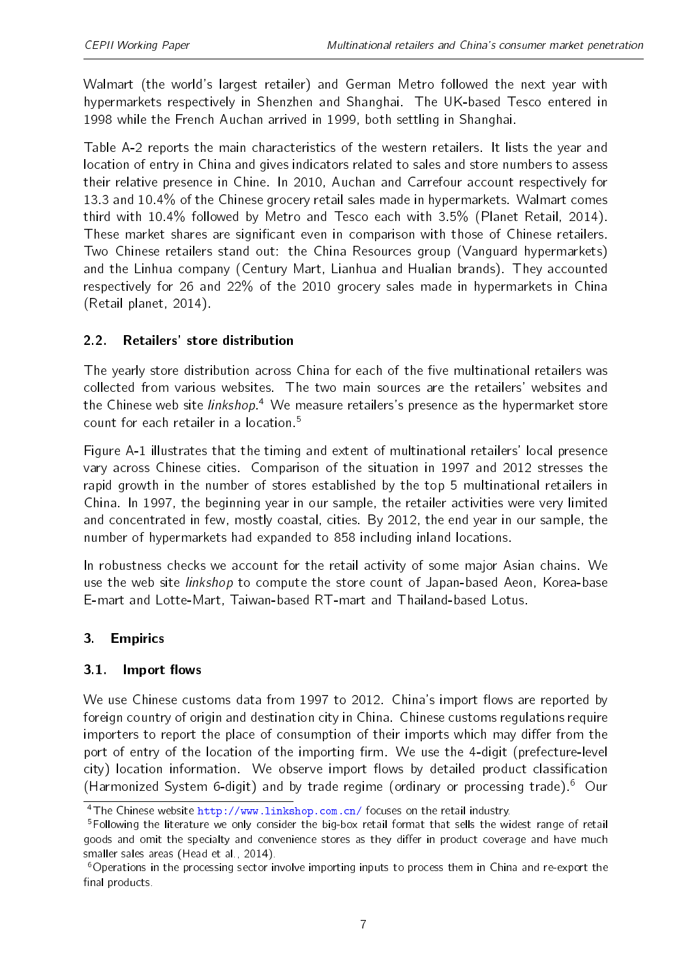Walmart (the world's largest retailer) and German Metro followed the next year with hypermarkets respectively in Shenzhen and Shanghai. The UK-based Tesco entered in 1998 while the French Auchan arrived in 1999, both settling in Shanghai.

Table [A-2](#page-23-0) reports the main characteristics of the western retailers. It lists the year and location of entry in China and gives indicators related to sales and store numbers to assess their relative presence in Chine. In 2010, Auchan and Carrefour account respectively for 13.3 and 10.4% of the Chinese grocery retail sales made in hypermarkets. Walmart comes third with 10.4% followed by Metro and Tesco each with 3.5% (Planet Retail, 2014). These market shares are significant even in comparison with those of Chinese retailers. Two Chinese retailers stand out: the China Resources group (Vanguard hypermarkets) and the Linhua company (Century Mart, Lianhua and Hualian brands). They accounted respectively for 26 and 22% of the 2010 grocery sales made in hypermarkets in China (Retail planet, 2014).

#### 2.2. Retailers' store distribution

The yearly store distribution across China for each of the five multinational retailers was collected from various websites. The two main sources are the retailers' websites and the Chinese web site *linkshop*.<sup>[4](#page-2-0)</sup> We measure retailers's presence as the hypermarket store count for each retailer in a location.<sup>[5](#page-2-0)</sup>

Figure [A-1](#page-22-0) illustrates that the timing and extent of multinational retailers' local presence vary across Chinese cities. Comparison of the situation in 1997 and 2012 stresses the rapid growth in the number of stores established by the top 5 multinational retailers in China. In 1997, the beginning year in our sample, the retailer activities were very limited and concentrated in few, mostly coastal, cities. By 2012, the end year in our sample, the number of hypermarkets had expanded to 858 including inland locations.

In robustness checks we account for the retail activity of some major Asian chains. We use the web site linkshop to compute the store count of Japan-based Aeon, Korea-base E-mart and Lotte-Mart, Taiwan-based RT-mart and Thailand-based Lotus.

#### 3. Empirics

#### 3.1. Import flows

We use Chinese customs data from 1997 to 2012. China's import flows are reported by foreign country of origin and destination city in China. Chinese customs regulations require importers to report the place of consumption of their imports which may differ from the port of entry of the location of the importing firm. We use the 4-digit (prefecture-level city) location information. We observe import flows by detailed product classification (Harmonized System 6-digit) and by trade regime (ordinary or processing trade).[6](#page-2-0) Our

 $\frac{4}{10}$  The Chinese website <http://www.linkshop.com.cn/> focuses on the retail industry.

<sup>&</sup>lt;sup>5</sup>Following the literature we only consider the big-box retail format that sells the widest range of retail goods and omit the specialty and convenience stores as they differ in product coverage and have much smaller sales areas (Head et al., 2014).

<sup>&</sup>lt;sup>6</sup>Operations in the processing sector involve importing inputs to process them in China and re-export the final products.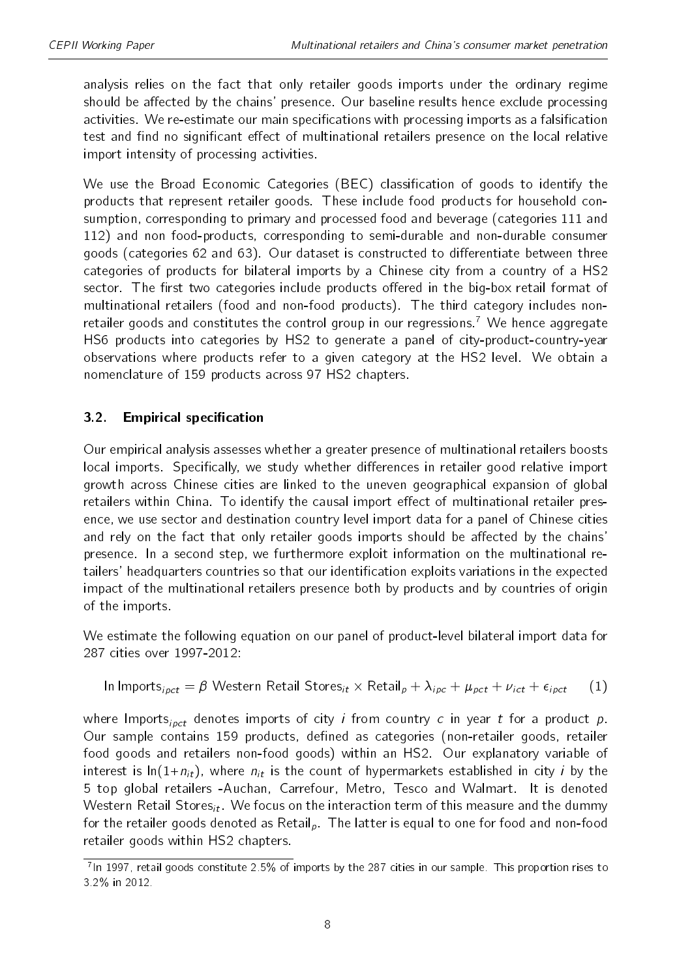analysis relies on the fact that only retailer goods imports under the ordinary regime should be affected by the chains' presence. Our baseline results hence exclude processing activities. We re-estimate our main specifications with processing imports as a falsification test and find no significant effect of multinational retailers presence on the local relative import intensity of processing activities.

We use the Broad Economic Categories (BEC) classification of goods to identify the products that represent retailer goods. These include food products for household consumption, corresponding to primary and processed food and beverage (categories 111 and 112) and non food-products, corresponding to semi-durable and non-durable consumer goods (categories 62 and 63). Our dataset is constructed to differentiate between three categories of products for bilateral imports by a Chinese city from a country of a HS2 sector. The first two categories include products offered in the big-box retail format of multinational retailers (food and non-food products). The third category includes non-retailer goods and constitutes the control group in our regressions.<sup>[7](#page-2-0)</sup> We hence aggregate HS6 products into categories by HS2 to generate a panel of city-product-country-year observations where products refer to a given category at the HS2 level. We obtain a nomenclature of 159 products across 97 HS2 chapters.

### 3.2. Empirical specification

Our empirical analysis assesses whether a greater presence of multinational retailers boosts local imports. Specifically, we study whether differences in retailer good relative import growth across Chinese cities are linked to the uneven geographical expansion of global retailers within China. To identify the causal import effect of multinational retailer presence, we use sector and destination country level import data for a panel of Chinese cities and rely on the fact that only retailer goods imports should be affected by the chains' presence. In a second step, we furthermore exploit information on the multinational retailers' headquarters countries so that our identification exploits variations in the expected impact of the multinational retailers presence both by products and by countries of origin of the imports.

We estimate the following equation on our panel of product-level bilateral import data for 287 cities over 1997-2012:

<span id="page-7-0"></span>In Imports<sub>ipct</sub> = 
$$
\beta
$$
 Western Retail Stores<sub>it</sub> × Retail<sub>p</sub> +  $\lambda_{ipc}$  +  $\mu_{pct}$  +  $\nu_{ict}$  +  $\epsilon_{ipct}$  (1)

where Imports<sub>ipct</sub> denotes imports of city *i* from country *c* in year *t* for a product  $p$ . Our sample contains 159 products, defined as categories (non-retailer goods, retailer food goods and retailers non-food goods) within an HS2. Our explanatory variable of interest is  $ln(1+n_{it})$ , where  $n_{it}$  is the count of hypermarkets established in city i by the 5 top global retailers -Auchan, Carrefour, Metro, Tesco and Walmart. It is denoted Western Retail Stores<sub>it</sub>. We focus on the interaction term of this measure and the dummy for the retailer goods denoted as Retail, The latter is equal to one for food and non-food retailer goods within HS2 chapters.

<sup>&</sup>lt;sup>7</sup>In 1997, retail goods constitute 2.5% of imports by the 287 cities in our sample. This proportion rises to 3.2% in 2012.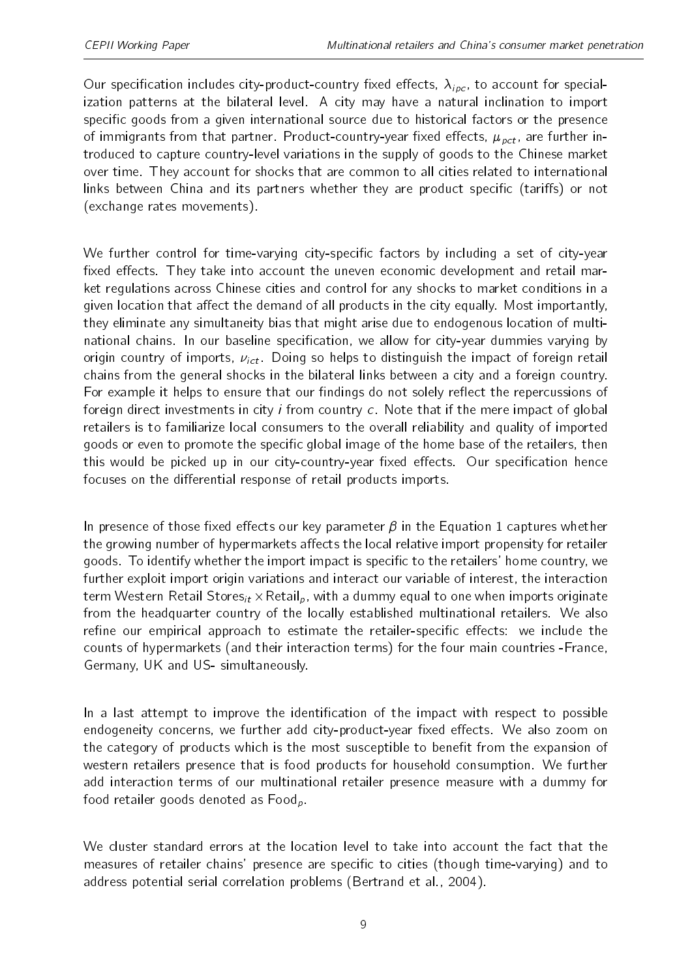Our specification includes city-product-country fixed effects,  $\lambda_{ipc}$ , to account for specialization patterns at the bilateral level. A city may have a natural inclination to import specific goods from a given international source due to historical factors or the presence of immigrants from that partner. Product-country-year fixed effects,  $\mu_{oct}$ , are further introduced to capture country-level variations in the supply of goods to the Chinese market over time. They account for shocks that are common to all cities related to international links between China and its partners whether they are product specific (tariffs) or not (exchange rates movements).

We further control for time-varying city-specific factors by including a set of city-year fixed effects. They take into account the uneven economic development and retail market regulations across Chinese cities and control for any shocks to market conditions in a given location that affect the demand of all products in the city equally. Most importantly, they eliminate any simultaneity bias that might arise due to endogenous location of multinational chains. In our baseline specification, we allow for city-year dummies varying by origin country of imports,  $v_{ict}$ . Doing so helps to distinguish the impact of foreign retail chains from the general shocks in the bilateral links between a city and a foreign country. For example it helps to ensure that our findings do not solely reflect the repercussions of foreign direct investments in city i from country c. Note that if the mere impact of global retailers is to familiarize local consumers to the overall reliability and quality of imported goods or even to promote the specific global image of the home base of the retailers, then this would be picked up in our city-country-year fixed effects. Our specification hence focuses on the differential response of retail products imports.

In presence of those fixed effects our key parameter  $\beta$  in the Equation [1](#page-7-0) captures whether the growing number of hypermarkets affects the local relative import propensity for retailer goods. To identify whether the import impact is specific to the retailers' home country, we further exploit import origin variations and interact our variable of interest, the interaction term Western Retail Stores $_{it}$   $\times$  Retail $_{p}$ , with a dummy equal to one when imports originate from the headquarter country of the locally established multinational retailers. We also refine our empirical approach to estimate the retailer-specific effects: we include the counts of hypermarkets (and their interaction terms) for the four main countries -France, Germany, UK and US- simultaneously.

In a last attempt to improve the identification of the impact with respect to possible endogeneity concerns, we further add city-product-year fixed effects. We also zoom on the category of products which is the most susceptible to benefit from the expansion of western retailers presence that is food products for household consumption. We further add interaction terms of our multinational retailer presence measure with a dummy for food retailer goods denoted as  $Food<sub>p</sub>$ .

We cluster standard errors at the location level to take into account the fact that the measures of retailer chains' presence are specific to cities (though time-varying) and to address potential serial correlation problems (Bertrand et al., 2004).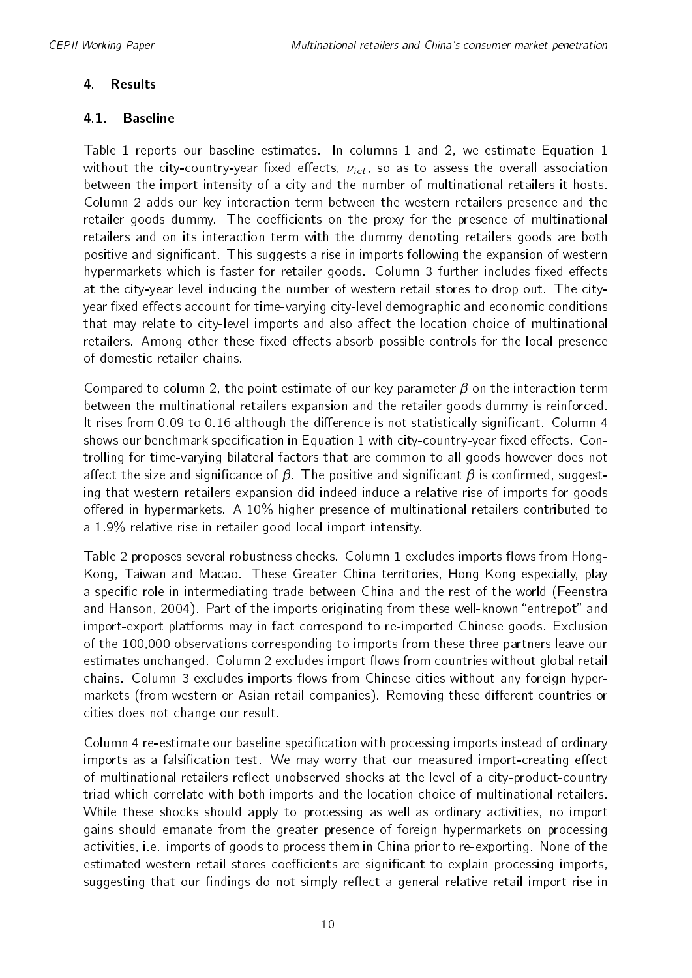#### 4. Results

#### 4.1. Baseline

Table [1](#page-17-0) reports our baseline estimates. In columns 1 and 2, we estimate Equation [1](#page-7-0) without the city-country-year fixed effects,  $v_{ict}$ , so as to assess the overall association between the import intensity of a city and the number of multinational retailers it hosts. Column 2 adds our key interaction term between the western retailers presence and the retailer goods dummy. The coefficients on the proxy for the presence of multinational retailers and on its interaction term with the dummy denoting retailers goods are both positive and significant. This suggests a rise in imports following the expansion of western hypermarkets which is faster for retailer goods. Column 3 further includes fixed effects at the city-year level inducing the number of western retail stores to drop out. The cityyear fixed effects account for time-varying city-level demographic and economic conditions that may relate to city-level imports and also affect the location choice of multinational retailers. Among other these fixed effects absorb possible controls for the local presence of domestic retailer chains.

Compared to column 2, the point estimate of our key parameter  $\beta$  on the interaction term between the multinational retailers expansion and the retailer goods dummy is reinforced. It rises from 0.09 to 0.16 although the difference is not statistically significant. Column 4 shows our benchmark specification in Equation [1](#page-7-0) with city-country-year fixed effects. Controlling for time-varying bilateral factors that are common to all goods however does not affect the size and significance of  $\beta$ . The positive and significant  $\beta$  is confirmed, suggesting that western retailers expansion did indeed induce a relative rise of imports for goods offered in hypermarkets. A  $10\%$  higher presence of multinational retailers contributed to a 1.9% relative rise in retailer good local import intensity.

Table [2](#page-17-1) proposes several robustness checks. Column 1 excludes imports flows from Hong-Kong, Taiwan and Macao. These Greater China territories, Hong Kong especially, play a specific role in intermediating trade between China and the rest of the world (Feenstra and Hanson, 2004). Part of the imports originating from these well-known "entrepot" and import-export platforms may in fact correspond to re-imported Chinese goods. Exclusion of the 100,000 observations corresponding to imports from these three partners leave our estimates unchanged. Column 2 excludes import flows from countries without global retail chains. Column 3 excludes imports flows from Chinese cities without any foreign hypermarkets (from western or Asian retail companies). Removing these different countries or cities does not change our result.

Column 4 re-estimate our baseline specification with processing imports instead of ordinary imports as a falsification test. We may worry that our measured import-creating effect of multinational retailers reflect unobserved shocks at the level of a city-product-country triad which correlate with both imports and the location choice of multinational retailers. While these shocks should apply to processing as well as ordinary activities, no import gains should emanate from the greater presence of foreign hypermarkets on processing activities, i.e. imports of goods to process them in China prior to re-exporting. None of the estimated western retail stores coefficients are significant to explain processing imports, suggesting that our findings do not simply reflect a general relative retail import rise in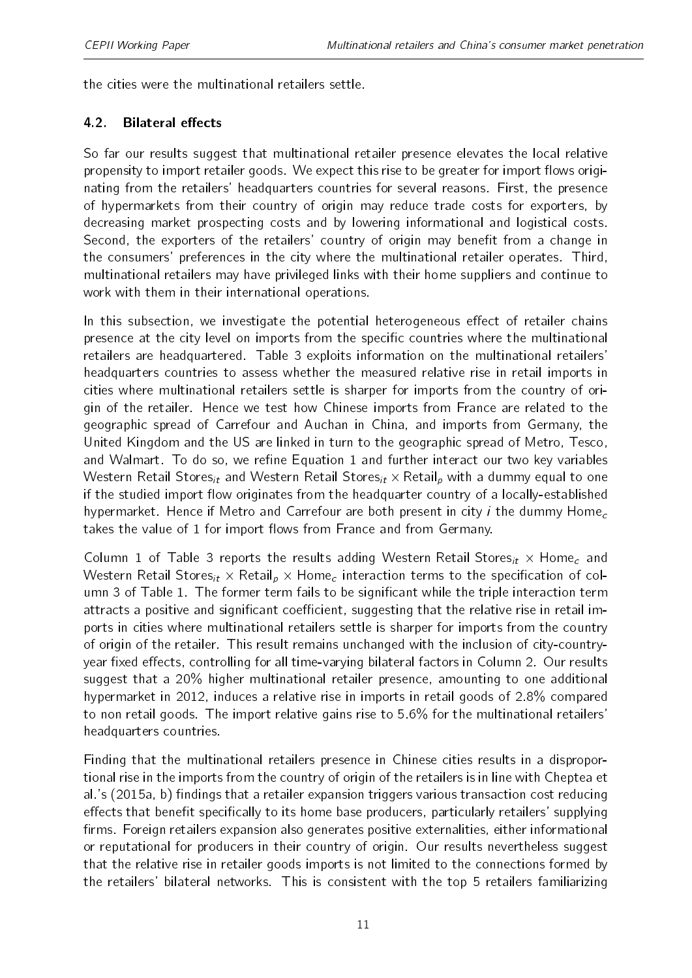the cities were the multinational retailers settle.

#### 4.2. Bilateral effects

So far our results suggest that multinational retailer presence elevates the local relative propensity to import retailer goods. We expect this rise to be greater for import flows originating from the retailers' headquarters countries for several reasons. First, the presence of hypermarkets from their country of origin may reduce trade costs for exporters, by decreasing market prospecting costs and by lowering informational and logistical costs. Second, the exporters of the retailers' country of origin may benefit from a change in the consumers' preferences in the city where the multinational retailer operates. Third, multinational retailers may have privileged links with their home suppliers and continue to work with them in their international operations.

In this subsection, we investigate the potential heterogeneous effect of retailer chains presence at the city level on imports from the specific countries where the multinational retailers are headquartered. Table [3](#page-18-0) exploits information on the multinational retailers' headquarters countries to assess whether the measured relative rise in retail imports in cities where multinational retailers settle is sharper for imports from the country of origin of the retailer. Hence we test how Chinese imports from France are related to the geographic spread of Carrefour and Auchan in China, and imports from Germany, the United Kingdom and the US are linked in turn to the geographic spread of Metro, Tesco, and Walmart. To do so, we refine Equation [1](#page-7-0) and further interact our two key variables Western Retail Stores<sub>it</sub> and Western Retail Stores<sub>it</sub>  $\times$  Retail<sub>p</sub> with a dummy equal to one if the studied import flow originates from the headquarter country of a locally-established hypermarket. Hence if Metro and Carrefour are both present in city *i* the dummy Home<sub>c</sub> takes the value of 1 for import flows from France and from Germany.

Column 1 of Table [3](#page-18-0) reports the results adding Western Retail Stores<sub>it</sub>  $\times$  Home<sub>c</sub> and Western Retail Stores $_{it}$   $\times$  Retail $_{p}$   $\times$  Home $_{c}$  interaction terms to the specification of col-umn 3 of Table [1.](#page-17-0) The former term fails to be significant while the triple interaction term attracts a positive and significant coefficient, suggesting that the relative rise in retail imports in cities where multinational retailers settle is sharper for imports from the country of origin of the retailer. This result remains unchanged with the inclusion of city-countryyear fixed effects, controlling for all time-varying bilateral factors in Column 2. Our results suggest that a 20% higher multinational retailer presence, amounting to one additional hypermarket in 2012, induces a relative rise in imports in retail goods of 2.8% compared to non retail goods. The import relative gains rise to 5.6% for the multinational retailers' headquarters countries.

Finding that the multinational retailers presence in Chinese cities results in a disproportional rise in the imports from the country of origin of the retailers is in line with Cheptea et al.'s (2015a, b) findings that a retailer expansion triggers various transaction cost reducing effects that benefit specifically to its home base producers, particularly retailers' supplying firms. Foreign retailers expansion also generates positive externalities, either informational or reputational for producers in their country of origin. Our results nevertheless suggest that the relative rise in retailer goods imports is not limited to the connections formed by the retailers' bilateral networks. This is consistent with the top 5 retailers familiarizing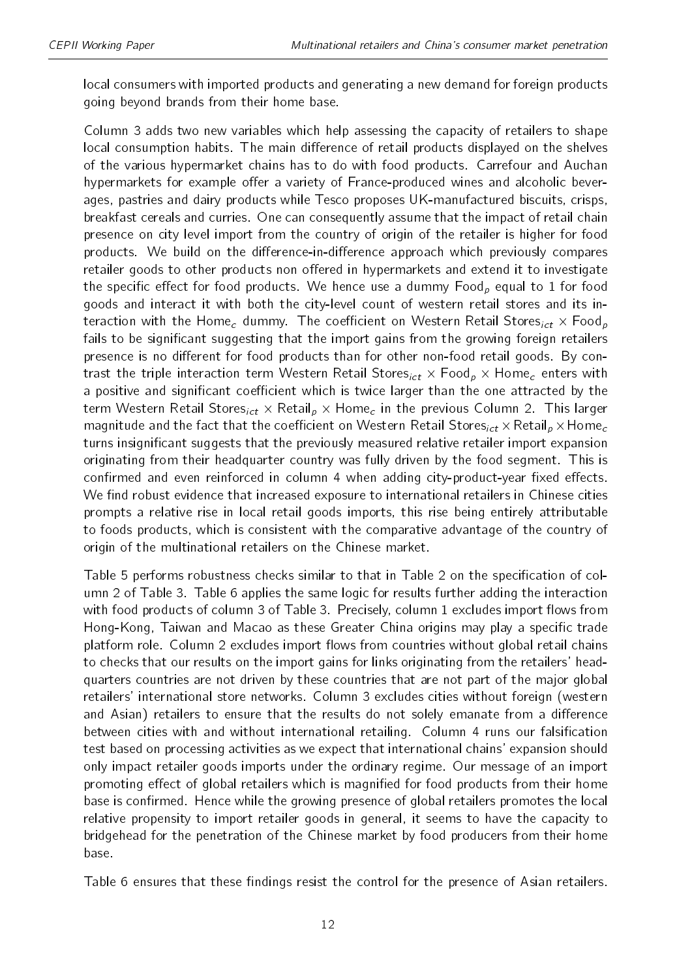local consumers with imported products and generating a new demand for foreign products going beyond brands from their home base.

Column 3 adds two new variables which help assessing the capacity of retailers to shape local consumption habits. The main difference of retail products displayed on the shelves of the various hypermarket chains has to do with food products. Carrefour and Auchan hypermarkets for example offer a variety of France-produced wines and alcoholic beverages, pastries and dairy products while Tesco proposes UK-manufactured biscuits, crisps, breakfast cereals and curries. One can consequently assume that the impact of retail chain presence on city level import from the country of origin of the retailer is higher for food products. We build on the difference-in-difference approach which previously compares retailer goods to other products non offered in hypermarkets and extend it to investigate the specific effect for food products. We hence use a dummy  $Food<sub>p</sub>$  equal to 1 for food goods and interact it with both the city-level count of western retail stores and its interaction with the Home<sub>c</sub> dummy. The coefficient on Western Retail Stores<sub>ict</sub>  $\times$  Food<sub>p</sub> fails to be significant suggesting that the import gains from the growing foreign retailers presence is no different for food products than for other non-food retail goods. By contrast the triple interaction term Western Retail Stores $_{ict}$   $\times$  Food $_{p}$   $\times$  Home $_{c}$  enters with a positive and significant coefficient which is twice larger than the one attracted by the term Western Retail Stores<sub>ict</sub>  $\times$  Retail<sub>p</sub>  $\times$  Home<sub>c</sub> in the previous Column 2. This larger magnitude and the fact that the coefficient on Western Retail Stores $_{ict}$   $\times$  Retail $_{p}$   $\times$  Home $_{c}$ turns insignificant suggests that the previously measured relative retailer import expansion originating from their headquarter country was fully driven by the food segment. This is confirmed and even reinforced in column 4 when adding city-product-year fixed effects. We find robust evidence that increased exposure to international retailers in Chinese cities prompts a relative rise in local retail goods imports, this rise being entirely attributable to foods products, which is consistent with the comparative advantage of the country of origin of the multinational retailers on the Chinese market.

Table [5](#page-19-0) performs robustness checks similar to that in Table [2](#page-17-1) on the specification of column 2 of Table [3.](#page-18-0) Table [6](#page-20-0) applies the same logic for results further adding the interaction with food products of column 3 of Table [3.](#page-18-0) Precisely, column 1 excludes import flows from Hong-Kong, Taiwan and Macao as these Greater China origins may play a specific trade platform role. Column 2 excludes import flows from countries without global retail chains to checks that our results on the import gains for links originating from the retailers' headquarters countries are not driven by these countries that are not part of the major global retailers' international store networks. Column 3 excludes cities without foreign (western and Asian) retailers to ensure that the results do not solely emanate from a difference between cities with and without international retailing. Column 4 runs our falsification test based on processing activities as we expect that international chains' expansion should only impact retailer goods imports under the ordinary regime. Our message of an import promoting effect of global retailers which is magnified for food products from their home base is confirmed. Hence while the growing presence of global retailers promotes the local relative propensity to import retailer goods in general, it seems to have the capacity to bridgehead for the penetration of the Chinese market by food producers from their home base.

Table [6](#page-20-0) ensures that these findings resist the control for the presence of Asian retailers.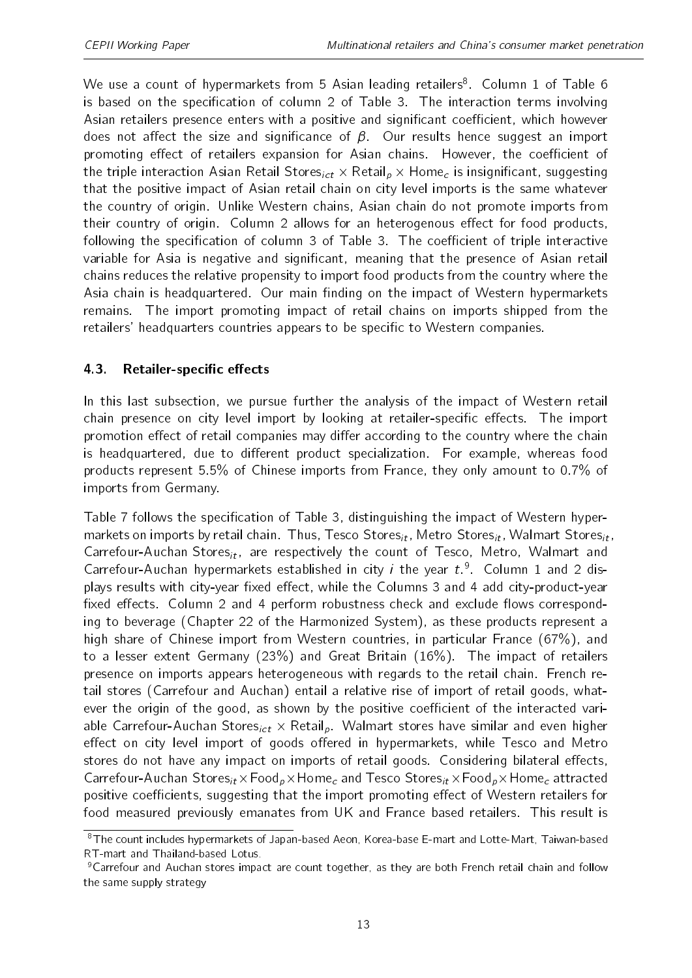We use a count of hypermarkets from 5 Asian leading retailers<sup>[8](#page-2-0)</sup>. Column 1 of Table [6](#page-20-0) is based on the specification of column 2 of Table [3.](#page-18-0) The interaction terms involving Asian retailers presence enters with a positive and significant coefficient, which however does not affect the size and significance of  $\beta$ . Our results hence suggest an import promoting effect of retailers expansion for Asian chains. However, the coefficient of the triple interaction Asian Retail Stores $_{ict}$   $\times$  Retail $_{p}$   $\times$  Home $_{c}$  is insignificant, suggesting that the positive impact of Asian retail chain on city level imports is the same whatever the country of origin. Unlike Western chains, Asian chain do not promote imports from their country of origin. Column 2 allows for an heterogenous effect for food products, following the specification of column 3 of Table [3.](#page-18-0) The coefficient of triple interactive variable for Asia is negative and significant, meaning that the presence of Asian retail chains reduces the relative propensity to import food products from the country where the Asia chain is headquartered. Our main finding on the impact of Western hypermarkets remains. The import promoting impact of retail chains on imports shipped from the retailers' headquarters countries appears to be specific to Western companies.

#### 4.3. Retailer-specific effects

In this last subsection, we pursue further the analysis of the impact of Western retail chain presence on city level import by looking at retailer-specific effects. The import promotion effect of retail companies may differ according to the country where the chain is headquartered, due to different product specialization. For example, whereas food products represent 5.5% of Chinese imports from France, they only amount to 0.7% of imports from Germany.

Table [7](#page-21-0) follows the specification of Table [3,](#page-18-0) distinguishing the impact of Western hypermarkets on imports by retail chain. Thus, Tesco Stores<sub>it</sub>, Metro Stores<sub>it</sub>, Walmart Stores<sub>it</sub>, Carrefour-Auchan Stores<sub>it</sub>, are respectively the count of Tesco, Metro, Walmart and Carrefour-Auchan hypermarkets established in city *i* the year  $t.^9$  $t.^9$ . Column 1 and 2 displays results with city-year fixed effect, while the Columns 3 and 4 add city-product-year fixed effects. Column 2 and 4 perform robustness check and exclude flows corresponding to beverage (Chapter 22 of the Harmonized System), as these products represent a high share of Chinese import from Western countries, in particular France (67%), and to a lesser extent Germany (23%) and Great Britain (16%). The impact of retailers presence on imports appears heterogeneous with regards to the retail chain. French retail stores (Carrefour and Auchan) entail a relative rise of import of retail goods, whatever the origin of the good, as shown by the positive coefficient of the interacted variable Carrefour-Auchan Stores<sub>ict</sub>  $\times$  Retail<sub>p</sub>. Walmart stores have similar and even higher effect on city level import of goods offered in hypermarkets, while Tesco and Metro stores do not have any impact on imports of retail goods. Considering bilateral effects, Carrefour-Auchan Stores<sub>it</sub>  $\times$  Food<sub>p</sub>  $\times$  Home<sub>c</sub> and Tesco Stores<sub>it</sub>  $\times$  Food<sub>p</sub>  $\times$  Home<sub>c</sub> attracted positive coefficients, suggesting that the import promoting effect of Western retailers for food measured previously emanates from UK and France based retailers. This result is

<sup>&</sup>lt;sup>8</sup>The count includes hypermarkets of Japan-based Aeon, Korea-base E-mart and Lotte-Mart, Taiwan-based RT-mart and Thailand-based Lotus.

<sup>9</sup>Carrefour and Auchan stores impact are count together, as they are both French retail chain and follow the same supply strategy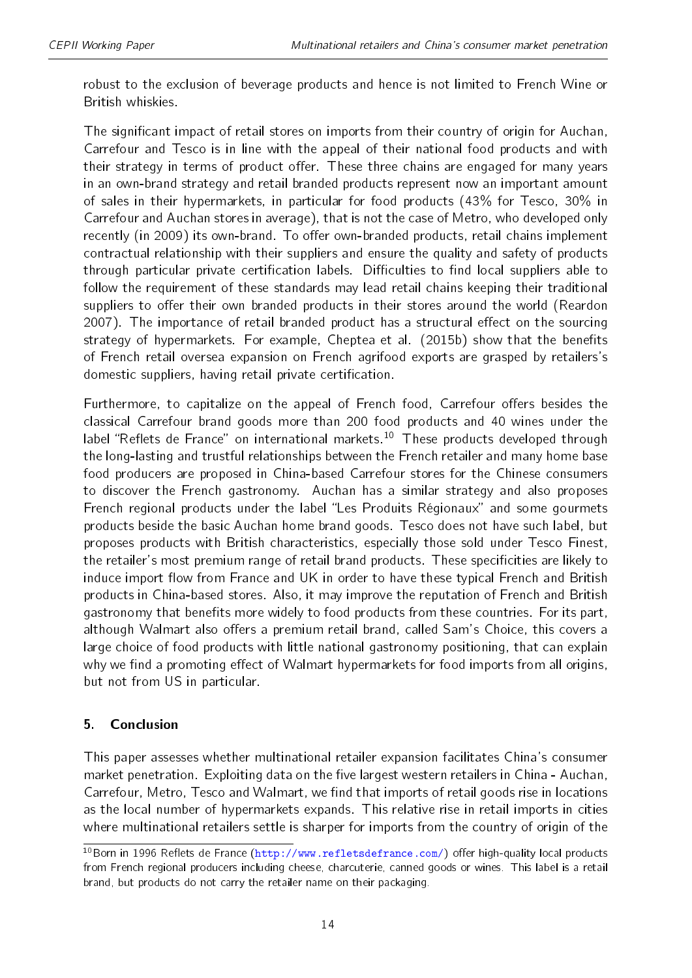robust to the exclusion of beverage products and hence is not limited to French Wine or British whiskies.

The significant impact of retail stores on imports from their country of origin for Auchan, Carrefour and Tesco is in line with the appeal of their national food products and with their strategy in terms of product offer. These three chains are engaged for many years in an own-brand strategy and retail branded products represent now an important amount of sales in their hypermarkets, in particular for food products (43% for Tesco, 30% in Carrefour and Auchan stores in average), that is not the case of Metro, who developed only recently (in 2009) its own-brand. To offer own-branded products, retail chains implement contractual relationship with their suppliers and ensure the quality and safety of products through particular private certification labels. Difficulties to find local suppliers able to follow the requirement of these standards may lead retail chains keeping their traditional suppliers to offer their own branded products in their stores around the world (Reardon 2007). The importance of retail branded product has a structural effect on the sourcing strategy of hypermarkets. For example, Cheptea et al. (2015b) show that the benefits of French retail oversea expansion on French agrifood exports are grasped by retailers's domestic suppliers, having retail private certification.

Furthermore, to capitalize on the appeal of French food, Carrefour offers besides the classical Carrefour brand goods more than 200 food products and 40 wines under the label "Reflets de France" on international markets.<sup>[10](#page-2-0)</sup> These products developed through the long-lasting and trustful relationships between the French retailer and many home base food producers are proposed in China-based Carrefour stores for the Chinese consumers to discover the French gastronomy. Auchan has a similar strategy and also proposes French regional products under the label "Les Produits Régionaux" and some gourmets products beside the basic Auchan home brand goods. Tesco does not have such label, but proposes products with British characteristics, especially those sold under Tesco Finest, the retailer's most premium range of retail brand products. These specificities are likely to induce import flow from France and UK in order to have these typical French and British products in China-based stores. Also, it may improve the reputation of French and British gastronomy that benefits more widely to food products from these countries. For its part, although Walmart also offers a premium retail brand, called Sam's Choice, this covers a large choice of food products with little national gastronomy positioning, that can explain why we find a promoting effect of Walmart hypermarkets for food imports from all origins, but not from US in particular.

#### 5. Conclusion

This paper assesses whether multinational retailer expansion facilitates China's consumer market penetration. Exploiting data on the five largest western retailers in China - Auchan, Carrefour, Metro, Tesco and Walmart, we find that imports of retail goods rise in locations as the local number of hypermarkets expands. This relative rise in retail imports in cities where multinational retailers settle is sharper for imports from the country of origin of the

 $10B$ orn in 1996 Reflets de France [\(http://www.refletsdefrance.com/\)](http://www.refletsdefrance.com/) offer high-quality local products from French regional producers including cheese, charcuterie, canned goods or wines. This label is a retail brand, but products do not carry the retailer name on their packaging.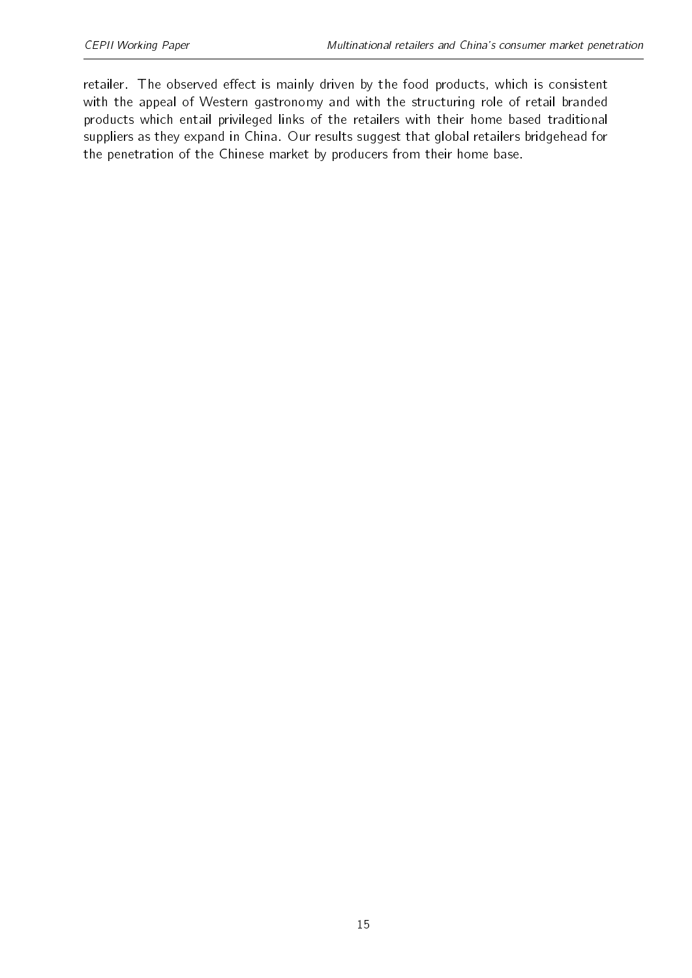retailer. The observed effect is mainly driven by the food products, which is consistent with the appeal of Western gastronomy and with the structuring role of retail branded products which entail privileged links of the retailers with their home based traditional suppliers as they expand in China. Our results suggest that global retailers bridgehead for the penetration of the Chinese market by producers from their home base.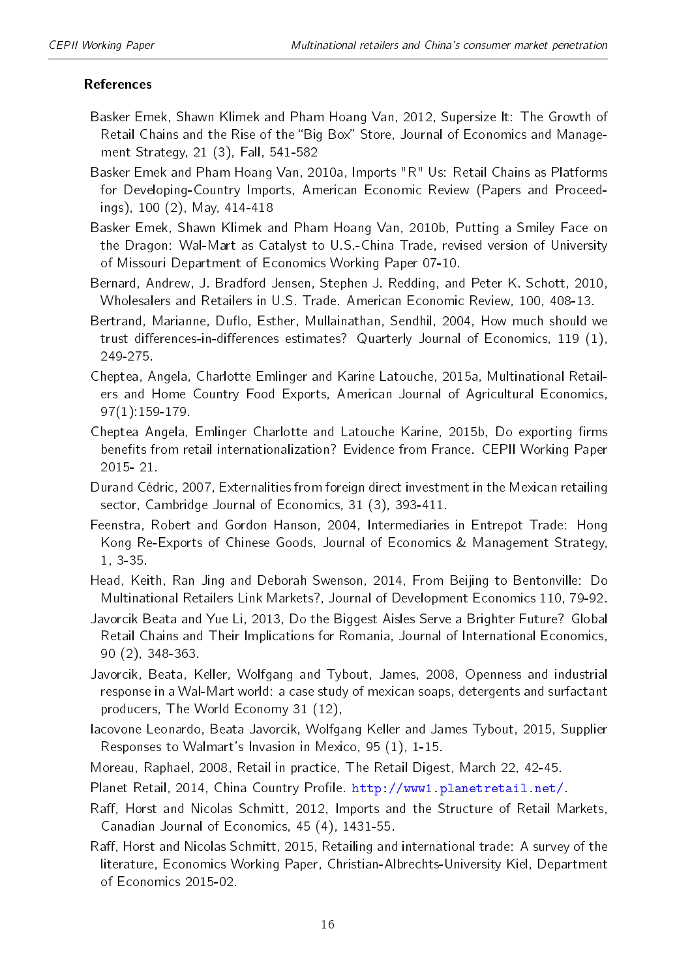#### References

- Basker Emek, Shawn Klimek and Pham Hoang Van, 2012, Supersize It: The Growth of Retail Chains and the Rise of the "Big Box" Store, Journal of Economics and Management Strategy, 21 (3), Fall, 541-582
- Basker Emek and Pham Hoang Van, 2010a, Imports "R" Us: Retail Chains as Platforms for Developing-Country Imports, American Economic Review (Papers and Proceedings), 100 (2), May, 414-418
- Basker Emek, Shawn Klimek and Pham Hoang Van, 2010b, Putting a Smiley Face on the Dragon: Wal-Mart as Catalyst to U.S.-China Trade, revised version of University of Missouri Department of Economics Working Paper 07-10.
- Bernard, Andrew, J. Bradford Jensen, Stephen J. Redding, and Peter K. Schott, 2010, Wholesalers and Retailers in U.S. Trade. American Economic Review, 100, 408-13.
- Bertrand, Marianne, Duflo, Esther, Mullainathan, Sendhil, 2004, How much should we trust differences-in-differences estimates? Quarterly Journal of Economics, 119  $(1)$ , 249-275.
- Cheptea, Angela, Charlotte Emlinger and Karine Latouche, 2015a, Multinational Retailers and Home Country Food Exports, American Journal of Agricultural Economics, 97(1):159-179.
- Cheptea Angela, Emlinger Charlotte and Latouche Karine, 2015b, Do exporting firms benefits from retail internationalization? Evidence from France. CEPII Working Paper 2015- 21.
- Durand Cédric, 2007, Externalities from foreign direct investment in the Mexican retailing sector, Cambridge Journal of Economics, 31 (3), 393-411.
- Feenstra, Robert and Gordon Hanson, 2004, Intermediaries in Entrepot Trade: Hong Kong Re-Exports of Chinese Goods, Journal of Economics & Management Strategy, 1, 3-35.
- Head, Keith, Ran Jing and Deborah Swenson, 2014, From Beijing to Bentonville: Do Multinational Retailers Link Markets?, Journal of Development Economics 110, 79-92.
- Javorcik Beata and Yue Li, 2013, Do the Biggest Aisles Serve a Brighter Future? Global Retail Chains and Their Implications for Romania, Journal of International Economics, 90 (2), 348-363.
- Javorcik, Beata, Keller, Wolfgang and Tybout, James, 2008, Openness and industrial response in a Wal-Mart world: a case study of mexican soaps, detergents and surfactant producers, The World Economy 31 (12),
- Iacovone Leonardo, Beata Javorcik, Wolfgang Keller and James Tybout, 2015, Supplier Responses to Walmart's Invasion in Mexico, 95 (1), 1-15.
- Moreau, Raphael, 2008, Retail in practice, The Retail Digest, March 22, 42-45.
- Planet Retail, 2014, China Country Profile. [http://www1.planetretail.net/.](http://www1.planetretail.net/)
- Raff, Horst and Nicolas Schmitt, 2012, Imports and the Structure of Retail Markets, Canadian Journal of Economics, 45 (4), 1431-55.
- Raff, Horst and Nicolas Schmitt, 2015, Retailing and international trade: A survey of the literature, Economics Working Paper, Christian-Albrechts-University Kiel, Department of Economics 2015-02.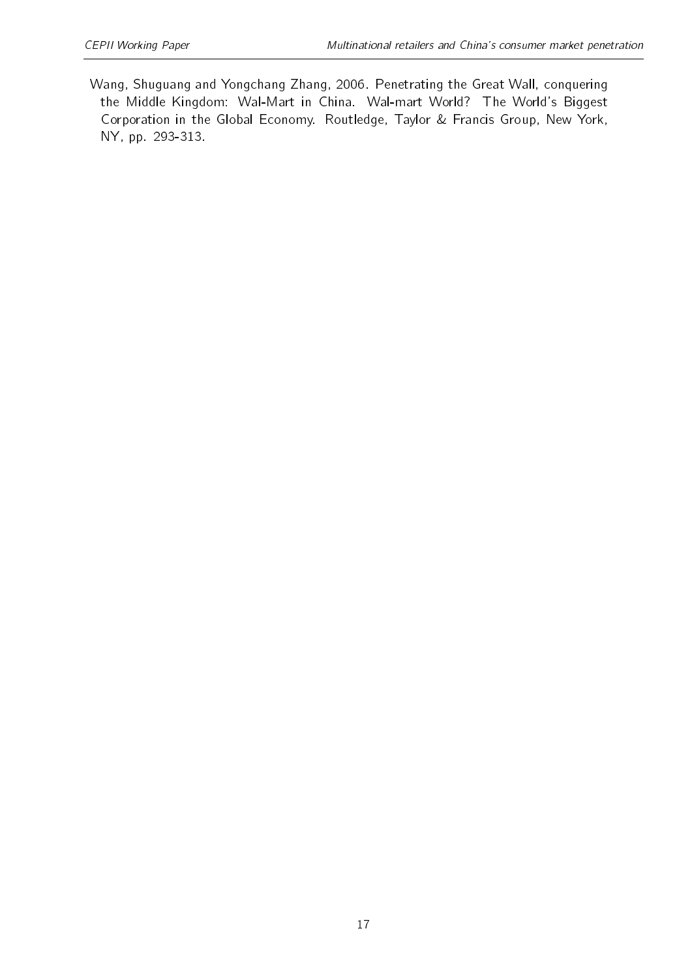Wang, Shuguang and Yongchang Zhang, 2006. Penetrating the Great Wall, conquering the Middle Kingdom: Wal-Mart in China. Wal-mart World? The World's Biggest Corporation in the Global Economy. Routledge, Taylor & Francis Group, New York, NY, pp. 293-313.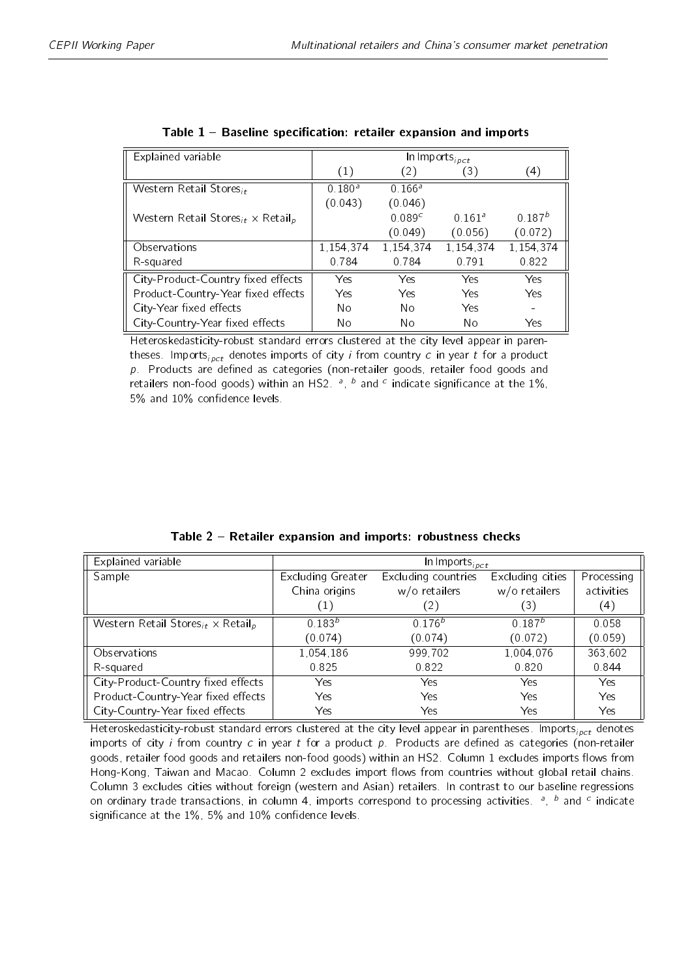<span id="page-17-0"></span>

| Explained variable                                               | In Imports <sub>ipct</sub> |                    |                    |               |
|------------------------------------------------------------------|----------------------------|--------------------|--------------------|---------------|
|                                                                  | (1)                        | $\left( 2\right)$  | 3)                 | $^{\circ}$ 4) |
| Western Retail Stores <sub>it</sub>                              | $0.180^{a}$                | 0.166 <sup>a</sup> |                    |               |
|                                                                  | (0.043)                    | (0.046)            |                    |               |
| Western Retail Stores <sub>it</sub> $\times$ Retail <sub>p</sub> |                            | 0.089 <sup>c</sup> | 0.161 <sup>a</sup> | $0.187^{b}$   |
|                                                                  |                            | (0.049)            | (0.056)            | (0.072)       |
| Observations                                                     | 1,154,374                  | 1,154,374          | 1,154,374          | 1,154,374     |
| R-squared                                                        | 0.784                      | 0.784              | 0.791              | 0.822         |
| City-Product-Country fixed effects                               | Yes                        | Yes                | Yes                | Yes           |
| Product-Country-Year fixed effects                               | Yes.                       | Yes                | Yes                | Yes           |
| City-Year fixed effects                                          | No                         | Nο                 | Yes                |               |
| City-Country-Year fixed effects                                  | No                         | No                 | No                 | Yes           |

| Table 1 - Baseline specification: retailer expansion and imports |  |  |  |  |  |
|------------------------------------------------------------------|--|--|--|--|--|
|------------------------------------------------------------------|--|--|--|--|--|

Heteroskedasticity-robust standard errors clustered at the city level appear in parentheses. Imports<sub>ipct</sub> denotes imports of city *i* from country *c* in year *t* for a product  $p$ . Products are defined as categories (non-retailer goods, retailer food goods and retailers non-food goods) within an HS2.  $a$ ,  $b$  and  $c$  indicate significance at the 1%, 5% and 10% confidence levels.

<span id="page-17-1"></span>

| Explained variable                                               | $ln$ Imports <sub>ipct</sub> |                     |                    |            |
|------------------------------------------------------------------|------------------------------|---------------------|--------------------|------------|
| Sample                                                           | Excluding Greater            | Excluding countries | Excluding cities   | Processing |
|                                                                  | China origins                | w/o retailers       | w/o retailers      | activities |
|                                                                  | $\left( 1\right)$            | $\left( 2\right)$   | (3)                | (4)        |
| Western Retail Stores <sub>it</sub> $\times$ Retail <sub>p</sub> | $0.183^{b}$                  | $0.176^{b}$         | 0.187 <sup>b</sup> | 0.058      |
|                                                                  | (0.074)                      | (0.074)             | (0.072)            | (0.059)    |
| Observations                                                     | 1,054,186                    | 999,702             | 1,004,076          | 363,602    |
| R-squared                                                        | 0.825                        | 0.822               | 0.820              | 0.844      |
| City-Product-Country fixed effects                               | Yes                          | Yes                 | Yes                | Yes        |
| Product-Country-Year fixed effects                               | Yes                          | Yes                 | Yes                | Yes        |
| City-Country-Year fixed effects                                  | Yes                          | Yes                 | Yes                | Yes        |

Table 2 Retailer expansion and imports: robustness checks

Heteroskedasticity-robust standard errors clustered at the city level appear in parentheses. Imports $_{i\rho ct}$  denotes imports of city *i* from country  $c$  in year  $t$  for a product  $p$ . Products are defined as categories (non-retailer goods, retailer food goods and retailers non-food goods) within an HS2. Column 1 excludes imports flows from Hong-Kong, Taiwan and Macao. Column 2 excludes import flows from countries without global retail chains. Column 3 excludes cities without foreign (western and Asian) retailers. In contrast to our baseline regressions on ordinary trade transactions, in column 4, imports correspond to processing activities.  $a$ ,  $b$  and  $c$  indicate significance at the  $1\%$ , 5% and  $10\%$  confidence levels.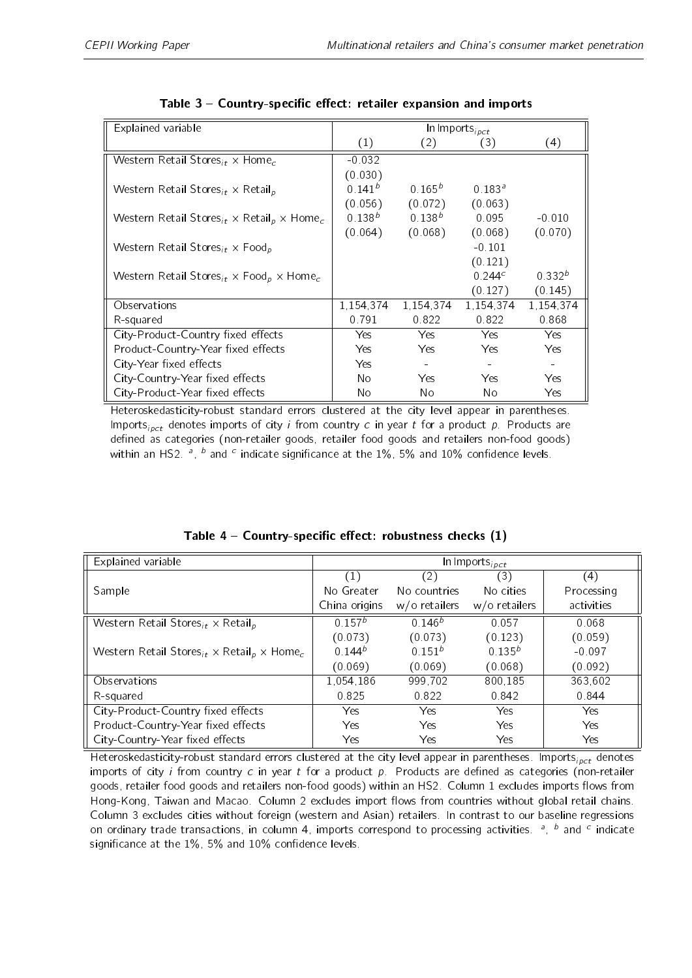<span id="page-18-0"></span>

| Explained variable                                                                          | $ln$ Imports <sub>ipct</sub> |             |                  |             |
|---------------------------------------------------------------------------------------------|------------------------------|-------------|------------------|-------------|
|                                                                                             | (1)                          | (2)         | (3)              | (4)         |
| Western Retail Stores <sub>it</sub> $\times$ Home <sub>c</sub>                              | $-0.032$                     |             |                  |             |
|                                                                                             | (0.030)                      |             |                  |             |
| Western Retail Stores <sub>it</sub> $\times$ Retail <sub>p</sub>                            | $0.141^{b}$                  | $0.165^{b}$ | $0.183^{\circ}$  |             |
|                                                                                             | (0.056)                      | (0.072)     | (0.063)          |             |
| Western Retail Stores <sub>it</sub> $\times$ Retail <sub>p</sub> $\times$ Home <sub>c</sub> | $0.138^{b}$                  | $0.138^{b}$ | 0.095            | $-0.010$    |
|                                                                                             | (0.064)                      | (0.068)     | (0.068)          | (0.070)     |
| Western Retail Stores <sub>it</sub> $\times$ Food <sub>p</sub>                              |                              |             | $-0.101$         |             |
|                                                                                             |                              |             | (0.121)          |             |
| Western Retail Stores <sub>it</sub> $\times$ Food <sub>p</sub> $\times$ Home <sub>c</sub>   |                              |             | 0.244 $^{\circ}$ | $0.332^{b}$ |
|                                                                                             |                              |             | (0.127)          | (0.145)     |
| Observations                                                                                | 1,154,374                    | 1.154.374   | 1,154,374        | 1,154,374   |
| R-squared                                                                                   | 0.791                        | 0.822       | 0.822            | 0.868       |
| City-Product-Country fixed effects                                                          | Yes.                         | Yes         | Yes.             | Yes.        |
| Product-Country-Year fixed effects                                                          | Yes:                         | Yes.        | Yes.             | Yes.        |
| City-Year fixed effects                                                                     | Yes.                         |             |                  |             |
| City-Country-Year fixed effects                                                             | No                           | Yes.        | Yes              | Yes.        |
| City-Product-Year fixed effects                                                             | No                           | No          | No               | Yes         |

| Table 3 - Country-specific effect: retailer expansion and imports |  |  |  |  |  |
|-------------------------------------------------------------------|--|--|--|--|--|
|-------------------------------------------------------------------|--|--|--|--|--|

Heteroskedasticity-robust standard errors clustered at the city level appear in parentheses. Imports<sub>ipct</sub> denotes imports of city *i* from country c in year t for a product p. Products are defined as categories (non-retailer goods, retailer food goods and retailers non-food goods) within an HS2.  $^a$ ,  $^b$  and  $^c$  indicate significance at the  $1\%$ , 5% and  $10\%$  confidence levels.

| Explained variable                                                                          | In Imports <sub>ipct</sub> |                  |                  |            |  |
|---------------------------------------------------------------------------------------------|----------------------------|------------------|------------------|------------|--|
|                                                                                             | (1)                        | (2)              | (3)              | (4)        |  |
| Sample                                                                                      | No Greater                 | No countries     | No cities        | Processing |  |
|                                                                                             | China origins              | $w$ /o retailers | $w$ /o retailers | activities |  |
| Western Retail Stores <sub>it</sub> $\times$ Retail <sub>p</sub>                            | 0.157 <sup>b</sup>         | $0.146^{b}$      | 0.057            | 0.068      |  |
|                                                                                             | (0.073)                    | (0.073)          | (0.123)          | (0.059)    |  |
| Western Retail Stores <sub>it</sub> $\times$ Retail <sub>p</sub> $\times$ Home <sub>c</sub> | $0.144^{b}$                | $0.151^{b}$      | $0.135^{b}$      | $-0.097$   |  |
|                                                                                             | (0.069)                    | (0.069)          | (0.068)          | (0.092)    |  |
| Observations                                                                                | 1,054,186                  | 999.702          | 800.185          | 363,602    |  |
| R-squared                                                                                   | 0.825                      | 0.822            | 0.842            | 0.844      |  |
| City-Product-Country fixed effects                                                          | <b>Yes</b>                 | <b>Yes</b>       | <b>Yes</b>       | Yes        |  |
| Product-Country-Year fixed effects                                                          | Yes                        | <b>Yes</b>       | <b>Yes</b>       | Yes        |  |
| City-Country-Year fixed effects                                                             | Yes                        | Yes              | Yes              | Yes        |  |

|  | Table $4$ – Country-specific effect: robustness checks $(1)$ |  |  |  |  |  |
|--|--------------------------------------------------------------|--|--|--|--|--|
|--|--------------------------------------------------------------|--|--|--|--|--|

Heteroskedasticity-robust standard errors clustered at the city level appear in parentheses. Imports<sub>ipct</sub> denotes imports of city *i* from country c in year t for a product p. Products are defined as categories (non-retailer goods, retailer food goods and retailers non-food goods) within an HS2. Column 1 excludes imports flows from Hong-Kong, Taiwan and Macao. Column 2 excludes import flows from countries without global retail chains. Column 3 excludes cities without foreign (western and Asian) retailers. In contrast to our baseline regressions on ordinary trade transactions, in column 4, imports correspond to processing activities.  $a$ ,  $b$  and  $c$  indicate significance at the  $1\%$ , 5% and  $10\%$  confidence levels.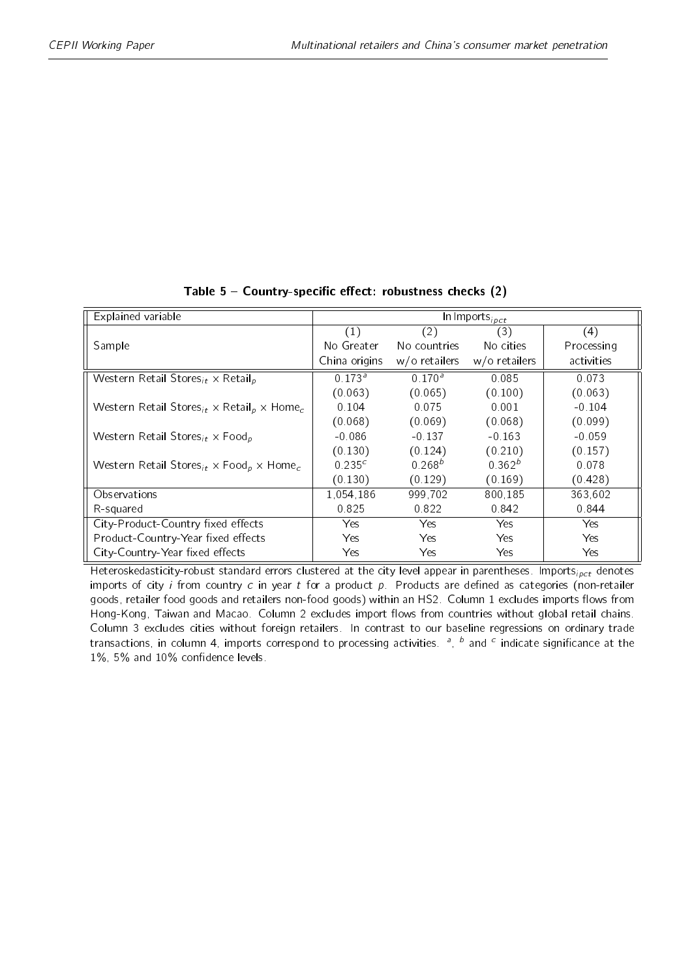<span id="page-19-0"></span>

| Explained variable                                                                          | In Imports <sub>ipct</sub> |                  |                    |            |  |
|---------------------------------------------------------------------------------------------|----------------------------|------------------|--------------------|------------|--|
|                                                                                             | $\left( 1\right)$          | (2)              | (3)                | (4)        |  |
| Sample                                                                                      | No Greater                 | No countries     | No cities          | Processing |  |
|                                                                                             | China origins              | $w$ /o retailers | $w$ /o retailers   | activities |  |
| Western Retail Stores <sub>it</sub> $\times$ Retail <sub>p</sub>                            | $0.173^{a}$                | $0.170^{a}$      | 0.085              | 0.073      |  |
|                                                                                             | (0.063)                    | (0.065)          | (0.100)            | (0.063)    |  |
| Western Retail Stores <sub>it</sub> $\times$ Retail <sub>p</sub> $\times$ Home <sub>c</sub> | 0.104                      | 0.075            | 0.001              | $-0.104$   |  |
|                                                                                             | (0.068)                    | (0.069)          | (0.068)            | (0.099)    |  |
| Western Retail Stores <sub>it</sub> $\times$ Food <sub>p</sub>                              | $-0.086$                   | $-0.137$         | $-0.163$           | $-0.059$   |  |
|                                                                                             | (0.130)                    | (0.124)          | (0.210)            | (0.157)    |  |
| Western Retail Stores <sub>it</sub> $\times$ Food <sub>p</sub> $\times$ Home <sub>c</sub>   | 0.235c                     | $0.268^{b}$      | 0.362 <sup>b</sup> | 0.078      |  |
|                                                                                             | (0.130)                    | (0.129)          | (0.169)            | (0.428)    |  |
| Observations                                                                                | 1,054,186                  | 999,702          | 800.185            | 363,602    |  |
| R-squared                                                                                   | 0.825                      | 0.822            | 0.842              | 0.844      |  |
| City-Product-Country fixed effects                                                          | Yes.                       | Yes.             | Yes.               | Yes.       |  |
| Product-Country-Year fixed effects                                                          | Yes.                       | Yes.             | Yes.               | Yes        |  |
| City-Country-Year fixed effects                                                             | Yes                        | Yes.             | Yes.               | Yes        |  |

#### Table  $5$  - Country-specific effect: robustness checks (2)

Heteroskedasticity-robust standard errors clustered at the city level appear in parentheses. Imports<sub>ipct</sub> denotes imports of city i from country c in year t for a product  $p$ . Products are defined as categories (non-retailer goods, retailer food goods and retailers non-food goods) within an HS2. Column 1 excludes imports flows from Hong-Kong, Taiwan and Macao. Column 2 excludes import flows from countries without global retail chains. Column 3 excludes cities without foreign retailers. In contrast to our baseline regressions on ordinary trade transactions, in column 4, imports correspond to processing activities. <sup>a</sup>, <sup>b</sup> and <sup>c</sup> indicate significance at the  $1\%$ , 5% and  $10\%$  confidence levels.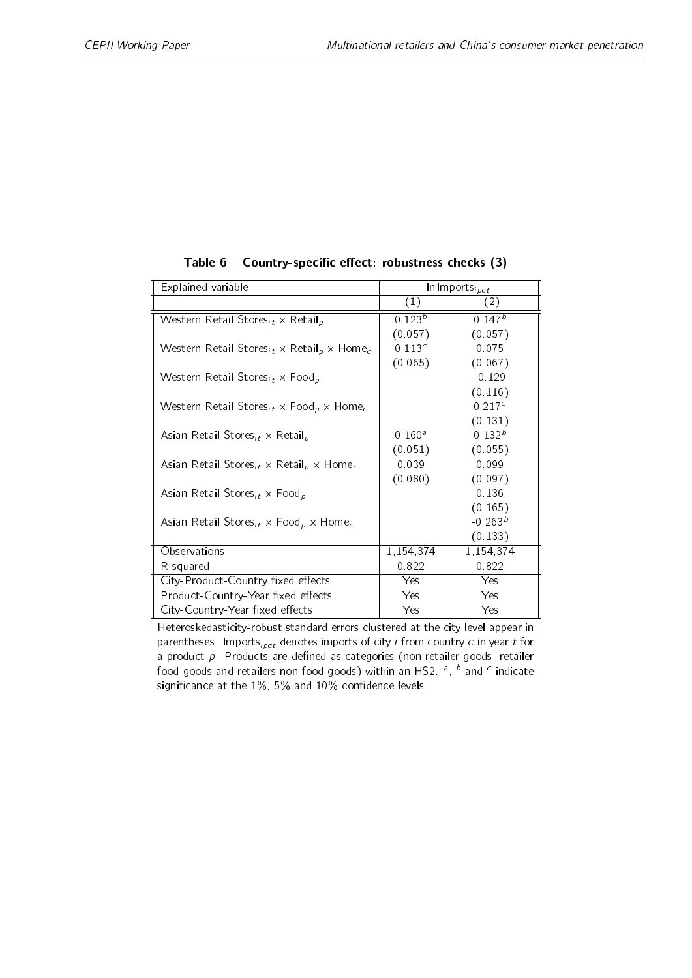<span id="page-20-0"></span>

| Explained variable                                                                          |                    | In Imports $_{ipct}$ |
|---------------------------------------------------------------------------------------------|--------------------|----------------------|
|                                                                                             | (1)                | $\left( 2\right)$    |
| Western Retail Stores <sub>it</sub> $\times$ Retail <sub>p</sub>                            | $0.123^{b}$        | $0.147^{b}$          |
|                                                                                             | (0.057)            | (0.057)              |
| Western Retail Stores <sub>it</sub> $\times$ Retail <sub>p</sub> $\times$ Home <sub>c</sub> | 0.113 <sup>c</sup> | 0.075                |
|                                                                                             | (0.065)            | (0.067)              |
| Western Retail Stores <sub>it</sub> $\times$ Food <sub>p</sub>                              |                    | $-0.129$             |
|                                                                                             |                    | (0.116)              |
| Western Retail Stores <sub>it</sub> $\times$ Food <sub>p</sub> $\times$ Home <sub>c</sub>   |                    | 0.217c               |
|                                                                                             |                    | (0.131)              |
| Asian Retail Stores <sub>it</sub> $\times$ Retail <sub>p</sub>                              | 0.160 <sup>a</sup> | $0.132^{b}$          |
|                                                                                             | (0.051)            | (0.055)              |
| Asian Retail Stores <sub>it</sub> $\times$ Retail <sub>p</sub> $\times$ Home <sub>c</sub>   | 0.039              | 0.099                |
|                                                                                             | (0.080)            | (0.097)              |
| Asian Retail Stores <sub>it</sub> $\times$ Food <sub>p</sub>                                |                    | 0.136                |
|                                                                                             |                    | (0.165)              |
| Asian Retail Stores <sub>it</sub> $\times$ Food <sub>p</sub> $\times$ Home <sub>c</sub>     |                    | $-0.263^{b}$         |
|                                                                                             |                    | (0.133)              |
| Observations                                                                                | 1,154,374          | 1,154,374            |
| R-squared                                                                                   | 0.822              | 0.822                |
| City-Product-Country fixed effects                                                          | Yes.               | Yes                  |
| Product-Country-Year fixed effects                                                          | <b>Yes</b>         | Yes                  |
| City-Country-Year fixed effects                                                             | Yes                | Yes                  |

Table  $6$  - Country-specific effect: robustness checks  $(3)$ 

Heteroskedasticity-robust standard errors clustered at the city level appear in parentheses. Imports<sub>ipct</sub> denotes imports of city *i* from country *c* in year *t* for a product  $p$ . Products are defined as categories (non-retailer goods, retailer food goods and retailers non-food goods) within an HS2.  $^a$ ,  $^b$  and  $^c$  indicate significance at the  $1\%$ , 5% and  $10\%$  confidence levels.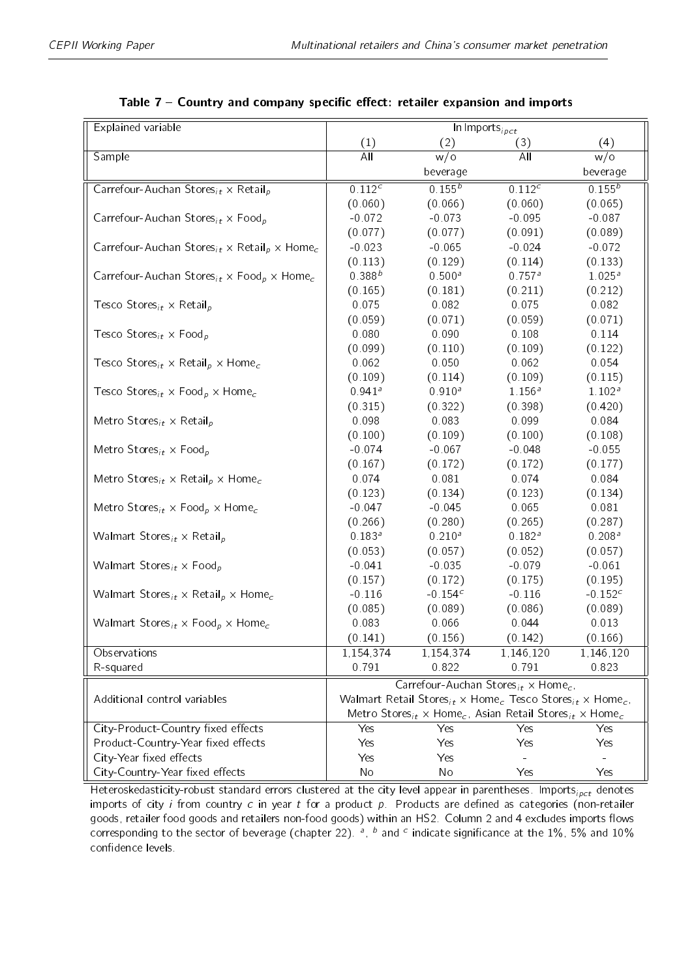<span id="page-21-0"></span>

| Explained variable                                                                            | $\overline{\ln}$ Imports <sub>ipct</sub> |                                                                                                          |                      |                    |
|-----------------------------------------------------------------------------------------------|------------------------------------------|----------------------------------------------------------------------------------------------------------|----------------------|--------------------|
|                                                                                               | (1)                                      | (2)                                                                                                      | (3)                  | (4)                |
| Sample                                                                                        | $\overline{All}$                         | $w$ /o                                                                                                   | A <sub>II</sub>      | w/o                |
|                                                                                               |                                          | beverage                                                                                                 |                      | beverage           |
| Carrefour-Auchan Stores <sub>it</sub> $\times$ Retail <sub>p</sub>                            | 0.112c                                   | $0.155^{b}$                                                                                              | 0.112 <sup>c</sup>   | $0.155^{b}$        |
|                                                                                               | (0.060)                                  | (0.066)                                                                                                  | (0.060)              | (0.065)            |
| Carrefour-Auchan Stores <sub>it</sub> $\times$ Food <sub>p</sub>                              | $-0.072$                                 | $-0.073$                                                                                                 | $-0.095$             | $-0.087$           |
|                                                                                               | (0.077)                                  | (0.077)                                                                                                  | (0.091)              | (0.089)            |
| Carrefour-Auchan Stores <sub>it</sub> $\times$ Retail <sub>p</sub> $\times$ Home <sub>c</sub> | $-0.023$                                 | $-0.065$                                                                                                 | $-0.024$             | $-0.072$           |
|                                                                                               | (0.113)                                  | (0.129)                                                                                                  | (0.114)              | (0.133)            |
| Carrefour-Auchan Stores <sub>it</sub> $\times$ Food <sub>p</sub> $\times$ Home <sub>c</sub>   | $0.388^{b}$                              | $0.500^{a}$                                                                                              | $0.757$ <sup>a</sup> | $1.025^{a}$        |
|                                                                                               | (0.165)                                  | (0.181)                                                                                                  | (0.211)              | (0.212)            |
| Tesco Stores <sub>it</sub> $\times$ Retail <sub>p</sub>                                       | 0.075                                    | 0.082                                                                                                    | 0.075                | 0.082              |
|                                                                                               | (0.059)                                  | (0.071)                                                                                                  | (0.059)              | (0.071)            |
| Tesco Stores <sub>it</sub> $\times$ Food <sub>p</sub>                                         | 0.080                                    | 0.090                                                                                                    | 0.108                | 0.114              |
|                                                                                               | (0.099)                                  | (0.110)                                                                                                  | (0.109)              | (0.122)            |
| Tesco Stores <sub>it</sub> $\times$ Retail <sub>p</sub> $\times$ Home <sub>c</sub>            | 0.062                                    | 0.050                                                                                                    | 0.062                | 0.054              |
|                                                                                               | (0.109)                                  | (0.114)                                                                                                  | (0.109)              | (0.115)            |
| Tesco Stores <sub>it</sub> $\times$ Food <sub>p</sub> $\times$ Home <sub>c</sub>              | $0.941$ <sup>a</sup>                     | $0.910^{a}$                                                                                              | $1.156^{a}$          | 1.102 <sup>a</sup> |
|                                                                                               | (0.315)                                  | (0.322)                                                                                                  | (0.398)              | (0.420)            |
| Metro Stores <sub>it</sub> $\times$ Retail <sub>p</sub>                                       | 0.098                                    | 0.083                                                                                                    | 0.099                | 0.084              |
|                                                                                               | (0.100)                                  | (0.109)                                                                                                  | (0.100)              | (0.108)            |
| Metro Stores <sub>it</sub> $\times$ Food <sub>p</sub>                                         | $-0.074$                                 | $-0.067$                                                                                                 | $-0.048$             | $-0.055$           |
|                                                                                               | (0.167)                                  | (0.172)                                                                                                  | (0.172)              | (0.177)            |
| Metro Stores <sub>it</sub> $\times$ Retail <sub>p</sub> $\times$ Home <sub>c</sub>            | 0.074                                    | 0.081                                                                                                    | 0.074                | 0.084              |
|                                                                                               | (0.123)                                  | (0.134)                                                                                                  | (0.123)              | (0.134)            |
| Metro Stores <sub>it</sub> $\times$ Food <sub>p</sub> $\times$ Home <sub>c</sub>              | $-0.047$                                 | $-0.045$                                                                                                 | 0.065                | 0.081              |
|                                                                                               | (0.266)                                  | (0.280)                                                                                                  | (0.265)              | (0.287)            |
| Walmart Stores <sub>it</sub> $\times$ Retail <sub>p</sub>                                     | $0.183^{a}$                              | $0.210^{a}$                                                                                              | $0.182^{a}$          | $0.208^a$          |
|                                                                                               | (0.053)                                  | (0.057)                                                                                                  | (0.052)              | (0.057)            |
| Walmart Stores <sub>it</sub> $\times$ Food <sub>p</sub>                                       | $-0.041$                                 | $-0.035$                                                                                                 | $-0.079$             | $-0.061$           |
|                                                                                               | (0.157)                                  | (0.172)                                                                                                  | (0.175)              | (0.195)            |
| Walmart Stores <sub>it</sub> $\times$ Retail <sub>p</sub> $\times$ Home <sub>c</sub>          | $-0.116$                                 | $-0.154c$                                                                                                | $-0.116$             | $-0.152^{c}$       |
|                                                                                               | (0.085)                                  | (0.089)                                                                                                  | (0.086)              | (0.089)            |
| Walmart Stores <sub>it</sub> $\times$ Food <sub>p</sub> $\times$ Home <sub>c</sub>            | 0.083                                    | 0.066                                                                                                    | 0.044                | 0.013              |
|                                                                                               | (0.141)                                  | (0.156)                                                                                                  | (0.142)              | (0.166)            |
| Observations                                                                                  | 1,154,374                                | 1,154,374                                                                                                | 1,146,120            | 1,146,120          |
| R-squared                                                                                     | 0791                                     | 0.822                                                                                                    | 0.791                | 0.823              |
|                                                                                               |                                          | Carrefour-Auchan Stores <sub>it</sub> × Home <sub>c</sub> ,                                              |                      |                    |
| Additional control variables                                                                  |                                          | Walmart Retail Stores <sub>it</sub> × Home <sub>c</sub> Tesco Stores <sub>it</sub> × Home <sub>c</sub> , |                      |                    |
|                                                                                               |                                          | Metro Stores <sub>it</sub> × Home <sub>c</sub> , Asian Retail Stores <sub>it</sub> × Home <sub>c</sub>   |                      |                    |
| City-Product-Country fixed effects                                                            | Yes                                      | Yes                                                                                                      | Yes                  | Yes                |
| Product-Country-Year fixed effects                                                            | Yes                                      | Yes                                                                                                      | Yes                  | Yes                |
| City-Year fixed effects                                                                       | Yes                                      | Yes                                                                                                      |                      |                    |
| City-Country-Year fixed effects                                                               | No                                       | No                                                                                                       | Yes                  | Yes                |

| Table 7 - Country and company specific effect: retailer expansion and imports |  |  |  |  |  |  |  |
|-------------------------------------------------------------------------------|--|--|--|--|--|--|--|
|-------------------------------------------------------------------------------|--|--|--|--|--|--|--|

Heteroskedasticity-robust standard errors clustered at the city level appear in parentheses. Imports<sub>ipct</sub> denotes imports of city  $i$  from country  $c$  in year  $t$  for a product  $p$ . Products are defined as categories (non-retailer goods, retailer food goods and retailers non-food goods) within an HS2. Column 2 and 4 excludes imports flows corresponding to the sector of beverage (chapter 22).  $^a$ ,  $^b$  and  $^c$  indicate significance at the 1%, 5% and 10% confidence levels.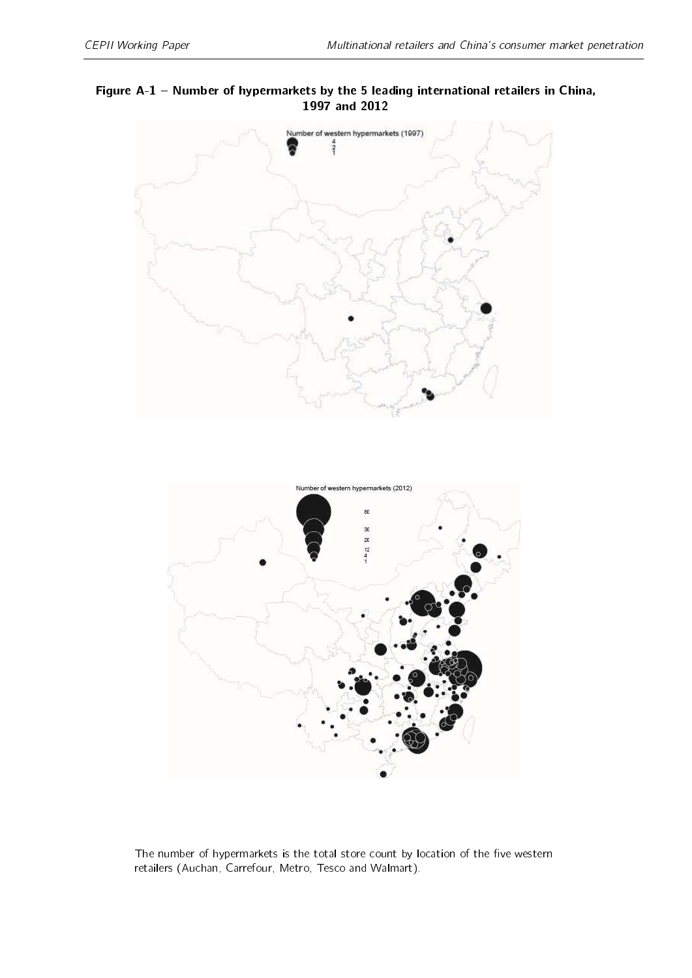#### <span id="page-22-0"></span>Figure A-1 Number of hypermarkets by the 5 leading international retailers in China, 1997 and 2012



The number of hypermarkets is the total store count by location of the five western retailers (Auchan, Carrefour, Metro, Tesco and Walmart).